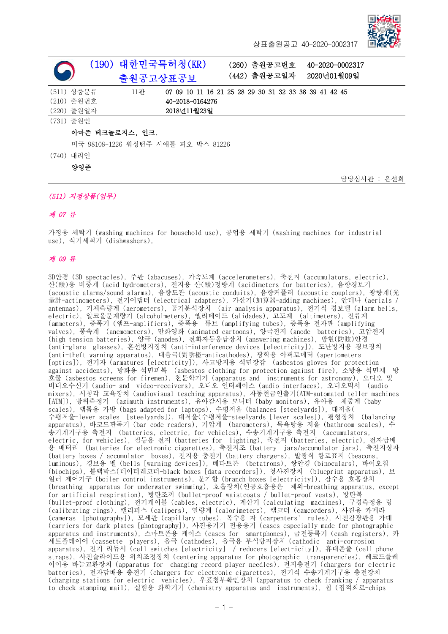

담당심사관 : 은선희

상표출원공고 40-2020-0002317



미국 98108-1226 워싱턴주 시애틀 피오 박스 81226

### (740) 대리인

#### 양영준

### (511) 지정상품(업무)

#### 제 07 류

가정용 세탁기 (washing machines for household use), 공업용 세탁기 (washing machines for industrial use), 식기세척기 (dishwashers),

#### 제 09 류

3D안경 (3D spectacles), 주판 (abacuses), 가속도계 (accelerometers), 축전지 (accumulators, electric), 산(酸)용 비중계 (acid hydrometers), 전지용 산(酸)정량계 (acidimeters for batteries), 음향경보기 (acoustic alarms/sound alarms), 음향도관 (acoustic conduits), 음향커플러 (acoustic couplers), 광량계(光 量計-actinometers), 전기어댑터 (electrical adapters), 가산기(加算器-adding machines), 안테나 (aerials / antennas), 기체측량계 (aerometers), 공기분석장치 (air analysis apparatus), 전기식 경보벨 (alarm bells, electric), 알코올분계량기 (alcoholmeters), 앨리데이드 (alidades), 고도계 (altimeters), 전류계 (ammeters), 증폭기 (앰프-amplifiers), 증폭용 튜브 (amplifying tubes), 증폭용 전자관 (amplifying valves), 풍속계 (anemometers), 만화영화 (animated cartoons), 양극전지 (anode batteries), 고압전지 (high tension batteries), 양극 (anodes), 전화자동응답장치 (answering machines), 방현(防眩)안경 (anti-glare glasses), 혼선방지장치 (anti-interference devices [electricity]), 도난방지용 경보장치 (anti-theft warning apparatus), 대음극(對陰極-anticathodes), 광학용 아퍼토메터 (apertometers [optics]), 전기자 (armatures [electricity]), 사고방지용 석면장갑 (asbestos gloves for protection against accidents), 방화용 석면피복 (asbestos clothing for protection against fire), 소방용 석면제 방 호물 (asbestos screens for firemen), 천문학기기 (apparatus and instruments for astronomy), 오디오 및 비디오수신기 (audio- and video-receivers), 오디오 인터페이스 (audio interfaces), 오디오믹서 (audio mixers), 시청각 교육장치 (audiovisual teaching apparatus), 자동현금인출기(ATM-automated teller machines [ATM]), 방위측정기 (azimuth instruments), 유아감시용 모니터 (baby monitors), 유아용 체중계 (baby scales), 랩톱용 가방 (bags adapted for laptops), 수평저울 (balances [steelyards]), 대저울( 수평저울-lever scales [steelyards]), 대저울(수평저울-steelyards [lever scales]), 평형장치 (balancing apparatus), 바코드판독기 (bar code readers), 기압계 (barometers), 목욕탕용 저울 (bathroom scales), 수 송기계기구용 축전지 (batteries, electric, for vehicles), 수송기계기구용 축전지 (accumulators, electric, for vehicles), 점등용 전지 (batteries for lighting), 축전지 (batteries, electric), 전자담배 용 배터리 (batteries for electronic cigarettes), 축전지조 (battery jars/accumulator jars), 축전지상자 (battery boxes / accumulator boxes), 전지용 충전기 (battery chargers), 발광식 항로표지 (beacons, luminous), 경보용 벨 (bells [warning devices]), 베타트론 (betatrons), 쌍안경 (binoculars), 바이오칩 (biochips), 블랙박스(데이터레코더-black boxes [data recorders]), 청사진장치 (blueprint apparatus), 보 일러 제어기구 (boiler control instruments), 분기함 (branch boxes [electricity]), 잠수용 호흡장치 (breathing apparatus for underwater swimming), 호흡장치(인공호흡용은 제외-breathing apparatus, except for artificial respiration), 방탄조끼 (bullet-proof waistcoats / bullet-proof vests), 방탄복 (bullet-proof clothing), 전기케이블 (cables, electric), 계산기 (calculating machines), 구경측정용 링 (calibrating rings), 캘리퍼스 (calipers), 열량계 (calorimeters), 캠코더 (camcorders), 사진용 카메라 (cameras [photography]), 모세관 (capillary tubes), 목수용 자 (carpenters' rules), 사진감광판용 가대 (carriers for dark plates [photography]), 사진용기기 전용용기 (cases especially made for photographic apparatus and instruments), 스마트폰용 케이스 (cases for smartphones), 금전등록기 (cash registers), 카 세트플레이어 (cassette players), 음극 (cathodes), 음극용 부식방지장치 (cathodic anti-corrosion apparatus), 전기 리듀서 (cell switches [electricity] / reducers [electricity]), 휴대폰줄 (cell phone straps), 사진슬라이드용 위치조정장치 (centering apparatus for photographic transparencies), 레코드플레 이어용 바늘교환장치 (apparatus for changing record player needles), 전지충전기 (chargers for electric batteries), 전자담배용 충전기 (chargers for electronic cigarettes), 전기식 수송기계기구용 충전장치 (charging stations for electric vehicles), 우표첨부확인장치 (apparatus to check franking / apparatus to check stamping mail), 실험용 화학기기 (chemistry apparatus and instruments), 칩 (집적회로-chips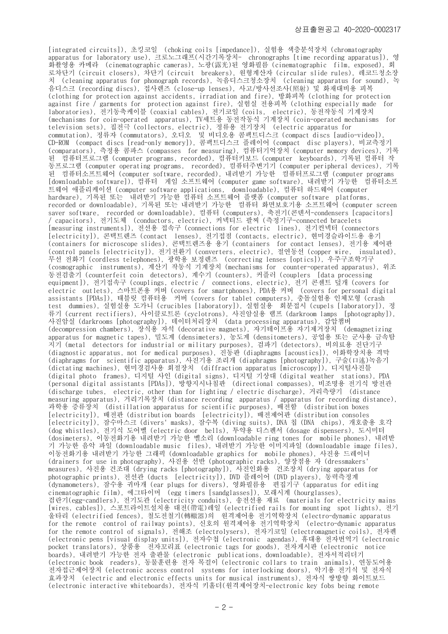[integrated circuits]), 초킹코일 (choking coils [impedance]), 실험용 색층분석장치 (chromatography apparatus for laboratory use), 크로노그래프(시간기록장치- chronographs [time recording apparatus]), 영 화촬영용 카메라 (cinematographic cameras), 노광(露光)된 영화필름 (cinematographic film, exposed), 회 로차단기 (circuit closers), 차단기 (circuit breakers), 원형계산자 (circular slide rules), 레코드청소장 치 (cleaning apparatus for phonograph records), 녹음디스크청소장치 (cleaning apparatus for sound), 녹 음디스크 (recording discs), 접사렌즈 (close-up lenses), 사고/방사선조사(照射) 및 화재대비용 피복 (clothing for protection against accidents, irradiation and fire), 방화피복 (clothing for protection against fire / garments for protection against fire), 실험실 전용피복 (clothing especially made for laboratories), 전기동축케이블 (coaxial cables), 전기코일 (coils, electric), 동전작동식 기계장치 (mechanisms for coin-operated apparatus), TV세트용 동전작동식 기계장치 (coin-operated mechanisms for television sets), 집전극 (collectors, electric), 정류용 전기장치 (electric apparatus for commutation), 정류자 (commutators), 오디오 및 비디오용 콤팩트디스크 (compact discs [audio-video]), CD-ROM (compact discs [read-only memory]), 콤팩트디스크 플레이어 (compact disc players), 비교측정기 (comparators), 측정용 콤파스 (compasses for measuring), 컴퓨터기억장치 (computer memory devices), 기록 된 컴퓨터프로그램 (computer programs, recorded), 컴퓨터키보드 (computer keyboards), 기록된 컴퓨터 작 동프로그램 (computer operating programs, recorded), 컴퓨터주변기기 (computer peripheral devices), 기록 된 컴퓨터소프트웨어 (computer software, recorded), 내려받기 가능한 컴퓨터프로그램 (computer programs [downloadable software]), 컴퓨터 게임 소프트웨어 (computer game software), 내려받기 가능한 컴퓨터소프 트웨어 애플리케이션 (computer software applications, downloadable), 컴퓨터 하드웨어 (computer hardware), 기록된 또는 내려받기 가능한 컴퓨터 소프트웨어 플랫폼 (computer software platforms, recorded or downloadable), 기록된 또는 내려받기 가능한 컴퓨터 화면보호기용 소프트웨어 (computer screen saver software, recorded or downloadable), 컴퓨터 (computers), 축전기(콘덴서-condensers [capacitors] / capacitors), 전기도체 (conductors, electric), 커넥티드 팔찌 (측정기구-connected bracelets [measuring instruments]), 전선용 접속구 (connections for electric lines), 전기컨넥터 (connectors [electricity]), 콘택트렌즈 (contact lenses), 전기접점 (contacts, electric), 현미경슬라이드용 용기 (containers for microscope slides), 콘택트렌즈용 용기 (containers for contact lenses), 전기용 제어판 (control panels [electricity]), 전기전환기 (converters, electric), 절연동선 (copper wire, insulated), 무선 전화기 (cordless telephones), 광학용 보정렌즈 (correcting lenses [optics]), 우주구조학기구 (cosmographic instruments), 계산기 작동식 기계장치 (mechanisms for counter-operated apparatus), 위조 동전검출기 (counterfeit coin detectors), 계수기 (counters), 커플러 (couplers [data processing equipment]), 전기접속구 (couplings, electric / connections, electric), 전기 콘센트 덮개 (covers for electric outlets), 스마트폰용 커버 (covers for smartphones), PDA용 커버 (covers for personal digital assistants [PDAs]), 태블릿 컴퓨터용 커버 (covers for tablet computers), 충돌실험용 인체모형 (crash test dummies), 실험실용 도가니 (crucibles [laboratory]), 실험실용 회분접시 (cupels [laboratory]), 정 류기 (current rectifiers), 사이클로트론 (cyclotrons), 사진암실용 램프 (darkroom lamps [photography]), 사진암실 (darkrooms [photography]), 데이터처리장치 (data processing apparatus), 감압챔버 (decompression chambers), 장식용 자석 (decorative magnets), 자기테이프용 자기제거장치 (demagnetizing apparatus for magnetic tapes), 밀도계 (densimeters), 농도계 (densitometers), 공업용 또는 군사용 금속탐 지기 (metal detectors for industrial or military purposes), 검파기 (detectors), 비의료용 진단기구 (diagnostic apparatus, not for medical purposes), 진동판 (diaphragms [acoustics]), 이화학장치용 격막 (diaphragms for scientific apparatus), 사진기용 조리개 (diaphragms [photography]), 구술(口述)녹음기 (dictating machines), 현미경검사용 회절장치 (diffraction apparatus [microscopy]), 디지털사진틀 (digital photo frames), 디지털 사인 (digital signs), 디지털 기상대 (digital weather stations), PDA (personal digital assistants [PDAs]), 방향지시나침판 (directional compasses), 비조명용 전기식 방전관 (discharge tubes, electric, other than for lighting / electric discharge), 거리측량기 (distance measuring apparatus), 거리기록장치 (distance recording apparatus / apparatus for recording distance), 과학용 증류장치 (distillation apparatus for scientific purposes), 배전함 (distribution boxes [electricity]), 배전판 (distribution boards [electricity]), 배전제어판 (distribution consoles [electricity]), 잠수마스크 (divers' masks), 잠수복 (diving suits), DNA 칩 (DNA chips), 개호출용 호각 (dog whistles), 전기식 도어벨 (electric door bells), 투약용 디스펜서 (dosage dispensers), 도시미터 (dosimeters), 이동전화기용 내려받기 가능한 벨소리 (downloadable ring tones for mobile phones), 내려받 기 가능한 음악 파일 (downloadable music files), 내려받기 가능한 이미지파일 (downloadable image files), 이동전화기용 내려받기 가능한 그래픽 (downloadable graphics for mobile phones), 사진용 드레이너 (drainers for use in photography), 사진용 선반 (photographic racks), 양장점용 자 (dressmakers' measures), 사진용 건조대 (drying racks [photography]), 사진인화용 건조장치 (drying apparatus for photographic prints), 전선관 (ducts [electricity]), DVD 플레이어 (DVD players), 동력측정계 (dynamometers), 잠수용 귀마개 (ear plugs for divers), 영화필름용 편집기구 (apparatus for editing cinematographic film), 에그타이머 (egg timers [sandglasses]), 모래시계 (hourglasses), 검란기(egg-candlers), 전기도관 (electricity conduits), 송전선용 재료 (materials for electricity mains [wires, cables]), 스포트라이트설치용 대전(帶電)레일 (electrified rails for mounting spot lights), 전기 울타리 (electrified fences), 철도전철기(轉轍器)의 원격제어용 전기역학장치 (electro-dynamic apparatus for the remote control of railway points), 신호의 원격제어용 전기역학장치 (electro-dynamic apparatus for the remote control of signals), 전해조 (electrolysers), 전자기코일 (electromagnetic coils), 전자펜 (electronic pens [visual display units]), 전자수첩 (electronic agendas), 휴대용 전자번역기 (electronic pocket translators), 상품용 전자꼬리표 (electronic tags for goods), 전자게시판 (electronic notice boards), 내려받기 가능한 전자 출판물 (electronic publications, downloadable), 전자서적리더기 (electronic book readers), 동물훈련용 전자 목걸이 (electronic collars to train animals), 연동도어용 전자접근제어장치 (electronic access control systems for interlocking doors), 악기용 전기식 및 전자식 효과장치 (electric and electronic effects units for musical instruments), 전자식 쌍방향 화이트보드 (electronic interactive whiteboards), 전자식 키홀더(원격제어장치-electronic key fobs being remote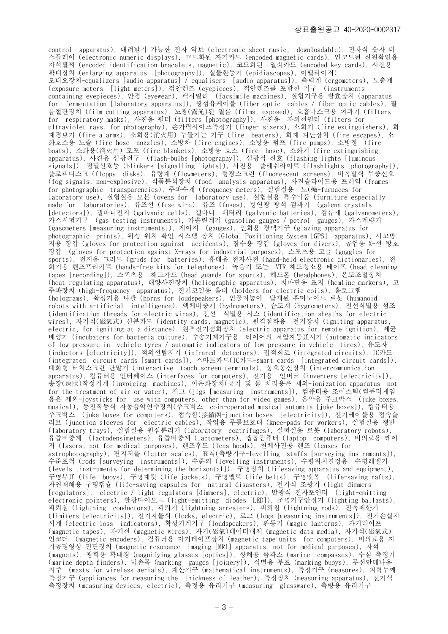control apparatus), 내려받기 가능한 전자 악보 (electronic sheet music, downloadable), 전자식 숫자 디 스플레이 (electronic numeric displays), 코드화된 자기카드 (encoded magnetic cards), 인코드된 신원확인용 자석팔찌 (encoded identification bracelets, magnetic), 코드화된 열쇠카드 (encoded key cards), 사진용 확대장치 (enlarging apparatus [photography]), 실물환등기 (epidiascopes), 이퀄라이저( 오디오장치-equalizers [audio apparatus] / equalisers [audio apparatus]), 측력계 (ergometers), 노출계 (exposure meters [light meters]), 접안렌즈 (eyepieces), 접안렌즈를 포함한 기구 (instruments containing eyepieces), 안경 (eyewear), 팩시밀리 (facsimile machines), 실험기구용 발효장치 (apparatus for fermentation [laboratory apparatus]), 광섬유케이블 (fiber optic cables / fiber optic cables), 필 름절단장치 (film cutting apparatus), 노광(露光)된 필름 (films, exposed), 호흡마스크용 여과기 (filters for respiratory masks), 사진용 필터 (filters [photography]), 사진용 자외선필터 (filters for ultraviolet rays, for photography), 손가락사이즈측정기 (finger sizers), 소화기 (fire extinguishers), 화 재경보기 (fire alarms), 소화용(消火用) 두들기는 기구 (fire beaters), 화재 피난장치 (fire escapes), 소 화호스용 노즐 (fire hose nozzles), 소방차 (fire engines), 소방용 펌프 (fire pumps), 소방정 (fire boats), 소화용(消火用) 모포 (fire blankets), 소방용 호스 (fire hose), 소화기 (fire extinguishing apparatus), 사진용 섬광전구 (flash-bulbs [photography]), 섬광식 신호 (flashing lights [luminous signals]), 점멸신호등 (blinkers [signalling lights]), 사진용 플래쉬라이트 (flashlights [photography]), 플로피디스크 (floppy disks), 유량계 (flowmeters), 형광스크린 (fluorescent screens), 비폭발식 무중신호 (fog signals, non-explosive), 식품분석장치 (food analysis apparatus), 사진슬라이드용 프레임 (frames for photographic transparencies), 주파수계 (frequency meters), 실험실용 노(爐-furnaces for laboratory use), 실험실용 오븐 (ovens for laboratory use), 실험실용 특수비품 (furniture especially made for laboratories), 퓨즈선 (fuse wire), 퓨즈 (fuses), 방연광 광석 검파기 (galena crystals [detectors]), 갤바니전지 (galvanic cells), 갤바니 배터리 (galvanic batteries), 검류계 (galvanometers), 가스시험기구 (gas testing instruments), 가솔린계기 (gasoline gauges / petrol gauges), 가스계량기 (gasometers [measuring instruments]), 게이지 (gauges), 인화용 광택기구 (glazing apparatus for photographic prints), 위성 위치 확인 시스템 장치 (Global Positioning System [GPS] apparatus), 사고방 지용 장갑 (gloves for protection against accidents), 잠수용 장갑 (gloves for divers), 공업용 X-선 방호 장갑 (gloves for protection against X-rays for industrial purposes), 스포츠용 고글 (goggles for sports), 전지용 그리드 (grids for batteries), 휴대용 전자사전 (hand-held electronic dictionaries), 전 화기용 핸즈프리키트 (hands-free kits for telephones), 녹음기 또는 VTR 헤드청소용 테이프 (head cleaning tapes [recording]), 스포츠용 헤드가드 (head guards for sports), 헤드폰 (headphones), 온도조절장치 (heat regulating apparatus), 태양사진장치 (heliographic apparatus), 치마단용 표지 (hemline markers), 고 주파장치 (high-frequency apparatus), 전기코일용 홀더 (holders for electric coils), 홀로그램 (holograms), 확성기용 나팔 (horns for loudspeakers), 인공지능이 탑재된 휴머노이드 로봇 (humanoid robots with artificial intelligence), 액체비중계 (hydrometers), 습도계 (hygrometers), 전선식별용 섬조 (identification threads for electric wires), 전선 식별용 시스 (identification sheaths for electric wires), 자기식(磁氣式) 신분카드 (identity cards, magnetic), 원격점화용 전기장치 (igniting apparatus, electric, for igniting at a distance), 원격전기점화장치 (electric apparatus for remote ignition), 세균 배양기 (incubators for bacteria culture), 수송기계기구용 타이어의 저압자동표시기 (automatic indicators of low pressure in vehicle tyres / automatic indicators of low pressure in vehicle tires), 유도자 (inductors [electricity]), 적외선탐지기 (infrared detectors), 집적회로 (integrated circuits), IC카드 (integrated circuit cards [smart cards]), 스마트카드(IC카드-smart cards [integrated circuit cards]), 대화형 터치스크린 단말기 (interactive touch screen terminals), 상호통신장치 (intercommunication apparatus), 컴퓨터용 인터페이스 (interfaces for computers), 전기용 인버터 (inverters [electricity]), 송장(送狀)작성기계 (invoicing machines), 이온화장치(공기 및 물 처리용은 제외-ionization apparatus not for the treatment of air or water), 지그 (jigs [measuring instruments]), 컴퓨터용 조이스틱(컴퓨터게임 용은 제외-joysticks for use with computers, other than for video games), 음악용 주크박스 (juke boxes, musical), 동전작동식 자동음악연주장치(주크박스 coin-operated musical automata [juke boxes]), 컴퓨터용 주크박스 (juke boxes for computers), 접속함(接續函-junction boxes [electricity]), 전기케이블용 접속슬 리브 (junction sleeves for electric cables), 작업용 무릎보호대 (knee-pads for workers), 실험실용 쟁반 (laboratory trays), 실험실용 원심분리기 (laboratory centrifuges), 실험실용 로봇 (laboratory robots), 유즙비중계 (lactodensimeters), 유즙비중계 (lactometers), 랩톱컴퓨터 (laptop computers), 비의료용 레이 저 (lasers, not for medical purposes), 렌즈후드 (lens hoods), 천체사진용 렌즈 (lenses for astrophotography), 편지저울 (letter scales), 표척(측량기구-levelling staffs [surveying instruments]), 수준표척 (rods [surveying instruments]), 수준의 (levelling instruments), 수평위치결정용 수평레벨기 (levels [instruments for determining the horizontal]), 구명장치 (lifesaving apparatus and equipment), 구명부표 (life buoys), 구명재킷 (life jackets), 구명벨트 (life belts), 구명뗏목 (life-saving rafts), 자연재해용 구명캡슐 (life-saving capsules for natural disasters), 전기식 조광기 (light dimmers [regulators], electric / light regulators [dimmers], electric), 발광식 전자포인터 (light-emitting electronic pointers), 발광다이오드 (light-emitting diodes [LED]), 조명기구안정기 (lighting ballasts), 피뢰침 (lightning conductors), 피뢰기 (lightning arresters), 피뢰침 (lightning rods), 진폭제한기 (limiters [electricity]), 전기자물쇠 (locks, electric), 로그 (logs [measuring instruments]), 전기손실지 시계 (electric loss indicators), 확성기계기구 (loudspeakers), 환등기 (magic lanterns), 자기테이프 (magnetic tapes), 자기선 (magnetic wires), 자기(磁氣)데이터매체 (magnetic data media), 자기식(磁氣式) 인코더 (magnetic encoders), 컴퓨터용 자기테이프장치 (magnetic tape units for computers), 비의료용 자 기공명영상 진단장치 (magnetic resonance imaging [MRI] apparatus, not for medical purposes), 자석 (magnets), 광학용 확대경 (magnifying glasses [optics]), 항해용 콤파스 (marine compasses), 수심 측정기 (marine depth finders), 턱촌목 (marking gauges [joinery]), 식별용 부표 (marking buoys), 무선안테나용 지주 (masts for wireless aerials), 계산기구 (mathematical instruments), 측정기구 (measures), 피혁두께 측정기구 (appliances for measuring the thickness of leather), 측정장치 (measuring apparatus), 전기식 측정장치 (measuring devices, electric), 측정용 유리기구 (measuring glassware), 측량용 유리기구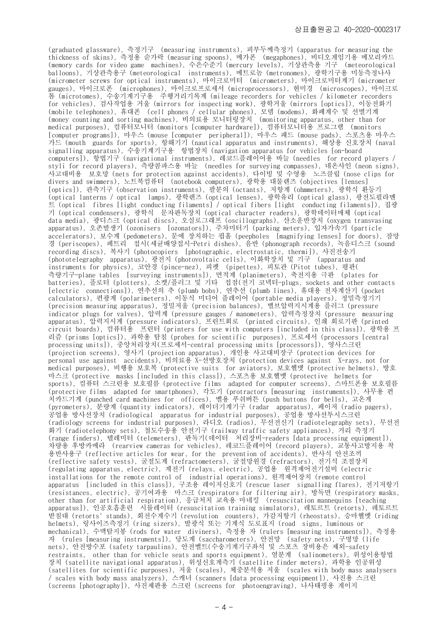(graduated glassware), 측정기구 (measuring instruments), 피부두께측정기 (apparatus for measuring the thickness of skins), 측정용 숟가락 (measuring spoons), 메가폰 (megaphones), 비디오게임기용 메모리카드 (memory cards for video game machines), 수은수준기 (mercury levels), 기상관측용 기구 (meteorological balloons), 기상관측용구 (meteorological instruments), 메트로놈 (metronomes), 광학기구용 미동측정나사 (micrometer screws for optical instruments), 마이크로미터 (micrometers), 마이크로미터계기 (micrometer gauges), 마이크로폰 (microphones), 마이크로프로세서 (microprocessors), 현미경 (microscopes), 마이크로 톰 (microtomes), 수송기계기구용 주행거리기록계 (mileage recorders for vehicles / kilometer recorders for vehicles), 검사작업용 거울 (mirrors for inspecting work), 광학거울 (mirrors [optics]), 이동전화기 (mobile telephones), 휴대폰 (cell phones / cellular phones), 모뎀 (modems), 화폐계수 및 선별기계 (money counting and sorting machines), 비의료용 모니터링장치 (monitoring apparatus, other than for medical purposes), 컴퓨터모니터 (monitors [computer hardware]), 컴퓨터모니터용 프로그램 (monitors [computer programs]), 마우스 (mouse [computer peripheral]), 마우스 패드 (mouse pads), 스포츠용 마우스 가드 (mouth guards for sports), 항해기기 (nautical apparatus and instruments), 해상용 신호장치 (naval signalling apparatus), 수송기계기구용 항법장치 (navigation apparatus for vehicles [on-board computers]), 항법기구 (navigational instruments), 레코드플레이어용 바늘 (needles for record players / styli for record players), 측량콤파스용 바늘 (needles for surveying compasses), 네온사인 (neon signs), 사고대비용 보호망 (nets for protection against accidents), 다이빙 및 수영용 노즈클립 (nose clips for divers and swimmers), 노트북컴퓨터 (notebook computers), 광학용 대물렌즈 (objectives [lenses] [optics]), 관측기구 (observation instruments), 팔분의 (octants), 저항계 (ohmmeters), 광학식 환등기 (optical lanterns / optical lamps), 광학렌즈 (optical lenses), 광학유리 (optical glass), 광전도필라멘 트 (optical fibres [light conducting filaments] / optical fibers [light conducting filaments]), 집광 기 (optical condensers), 광학식 문자판독장치 (optical character readers), 광학데이터매체 (optical data media), 광디스크 (optical discs), 오실로그래프 (oscillographs), 산소운반장치 (oxygen transvasing apparatus), 오존발생기 (ozonisers [ozonators]), 주차미터기 (parking meters), 입자가속기 (particle accelerators), 보수계 (pedometers), 문에 장치하는 핍홀 (peepholes [magnifying lenses] for doors), 잠망 경 (periscopes), 페트리 접시(세균배양접시-Petri dishes), 음반 (phonograph records), 녹음디스크 (sound recording discs), 복사기 (photocopiers [photographic, electrostatic, thermi]), 사진전송기 (phototelegraphy apparatus), 광전지 (photovoltaic cells), 이화학장치 및 기구 (apparatus and instruments for physics), 코안경 (pince-nez), 피펫 (pipettes), 피토관 (Pitot tubes), 평판( 측량기구-plane tables [surveying instruments]), 면적계 (planimeters), 축전지용 극판 (plates for batteries), 플로터 (plotters), 소켓/플러그 및 기타 접점(전기 코넥터-plugs, sockets and other contacts [electric connections]), 연추선의 추 (plumb bobs), 연추선 (plumb lines), 휴대용 전자계산기 (pocket calculators), 편광계 (polarimeters), 이동식 미디어 플레이어 (portable media players), 정밀측정기기 (precision measuring apparatus), 정밀저울 (precision balances), 밸브압력지시계용 플러그 (pressure indicator plugs for valves), 압력계 (pressure gauges / manometers), 압력측정장치 (pressure measuring apparatus), 압력지시계 (pressure indicators), 프린트회로 (printed circuits), 인쇄 회로기판 (printed circuit boards), 컴퓨터용 프린터 (printers for use with computers [included in this class]), 광학용 프 리즘 (prisms [optics]), 과학용 탐침 (probes for scientific purposes), 프로세서 (processors [central processing units]), 중앙처리장치(프로세서-central processing units [processors]), 영사스크린 (projection screens), 영사기 (projection apparatus), 개인용 사고대비장구 (protection devices for personal use against accidents), 비의료용 X-선방호장치 (protection devices against X-rays, not for medical purposes), 비행용 보호복 (protective suits for aviators), 보호헬맷 (protective helmets), 방호 마스크 (protective masks [included in this class]), 스포츠용 보호헬멧 (protective helmets for sports), 컴퓨터 스크린용 보호필름 (protective films adapted for computer screens), 스마트폰용 보호필름 (protective films adapted for smartphones), 각도기 (protractors [measuring instruments]), 사무용 펀 치카드기계 (punched card machines for offices), 벨용 푸쉬버튼 (push buttons for bells), 고온계 (pyrometers), 분량계 (quantity indicators), 레이더기계기구 (radar apparatus), 페이저 (radio pagers), 공업용 방사선장치 (radiological apparatus for industrial purposes), 공업용 방사선투시스크린 (radiology screens for industrial purposes), 라디오 (radios), 무선전신기 (radiotelegraphy sets), 무선전 화기 (radiotelephony sets), 철도수송용 안전기구 (railway traffic safety appliances), 거리 측정기 (range finders), 텔레미터 (telemeters), 판독기(데이터 처리장비-readers [data processing equipment]), 차량용 후방카메라 (rearview cameras for vehicles), 레코드플레이어 (record players), 교통사고방지용 착 용반사용구 (reflective articles for wear, for the prevention of accidents), 반사식 안전조끼 (reflective safety vests), 굴절도계 (refractometers), 굴절망원경 (refractors), 전기식 조절장치 (regulating apparatus, electric), 계전기 (relays, electric), 공업용 원격제어전기설비 (electric installations for the remote control of industrial operations), 원격제어장치 (remote control apparatus [included in this class]), 구조용 레이저신호기 (rescue laser signalling flares), 전기저항기 (resistances, electric), 공기여과용 마스크 (respirators for filtering air), 방독면 (respiratory masks, other than for artificial respiration), 응급처치 교육용 마네킹 (resuscitation mannequins [teaching apparatus]), 인공호흡훈련 시뮬레이터 (resuscitation training simulators), 레토르트 (retorts), 레토르트 받침대 (retorts' stands), 회전수계수기 (revolution counters), 가감저항기 (rheostats), 승마헬멧 (riding helmets), 링사이즈측정기 (ring sizers), 발광식 또는 기계식 도로표지 (road signs, luminous or mechanical), 수맥탐지봉 (rods for water diviners), 측정용 자 (rulers [measuring instruments]), 측정용 자 (rules [measuring instruments]), 당도계 (saccharometers), 안전망 (safety nets), 구명망 (life nets), 안전방수포 (safety tarpaulins), 안전벨트(수송기계기구좌석 및 스포츠 장비용은 제외-safety restraints, other than for vehicle seats and sports equipment), 염분계 (salinometers), 위성이용항법 장치 (satellite navigational apparatus), 위성신호계측기 (satellite finder meters), 과학용 인공위성 (satellites for scientific purposes), 저울 (scales), 체중분석용 저울 (scales with body mass analysers / scales with body mass analyzers), 스캐너 (scanners [data processing equipment]), 사진용 스크린 (screens [photography]), 사진제판용 스크린 (screens for photoengraving), 나사태핑용 게이지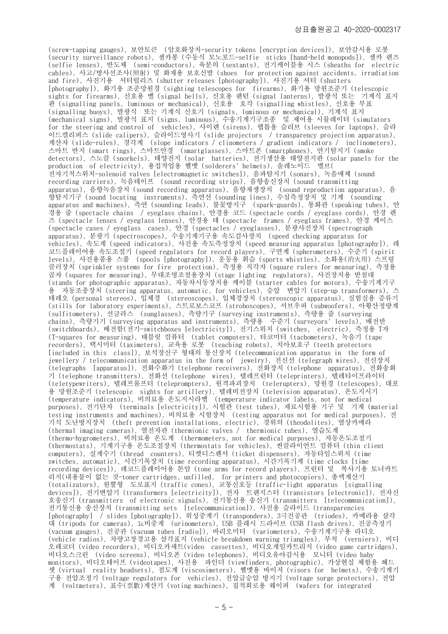(screw-tapping gauges), 보안토큰 (암호화장치-security tokens [encryption devices]), 보안감시용 로봇 (security surveillance robots), 셀카봉 (수동식 모노포드-selfie sticks [hand-held monopods]), 셀카 렌즈 (selfie lenses), 반도체 (semi-conductors), 육분의 (sextants), 전기케이블용 시스 (sheaths for electric cables), 사고/방사선조사(照射) 및 화재용 보호신발 (shoes for protection against accidents, irradiation and fire), 사진기용 셔터릴리즈 (shutter releases [photography]), 사진기용 셔터 (shutters [photography]), 화기용 조준망원경 (sighting telescopes for firearms), 화기용 망원조준기 (telescopic sights for firearms), 신호용 벨 (signal bells), 신호용 랜턴 (signal lanterns), 발광식 또는 기계식 표지 판 (signalling panels, luminous or mechanical), 신호용 호각 (signalling whistles), 신호용 부표 (signalling buoys), 발광식 또는 기계식 신호기 (signals, luminous or mechanical), 기계식 표지 (mechanical signs), 발광식 표지 (signs, luminous), 수송기계기구조종 및 제어용 시뮬레이터 (simulators for the steering and control of vehicles), 사이렌 (sirens), 랩톱용 슬리브 (sleeves for laptops), 슬라 이드캘리퍼스 (slide calipers), 슬라이드영사기 (slide projectors / transparency projection apparatus), 계산자 (slide-rules), 경각계 (slope indicators / clinometers / gradient indicators / inclinometers), 스마트 반지 (smart rings), 스마트안경 (smartglasses), 스마트폰 (smartphones), 연기탐지기 (smoke detectors), 스노클 (snorkels), 태양전지 (solar batteries), 전기생산용 태양전지판 (solar panels for the production of electricity), 용접작업용 헬멧 (solderers' helmets), 솔레노이드 밸브( 전자기적스위치-solenoid valves [electromagnetic switches]), 음파탐지기 (sonars), 녹음매체 (sound recording carriers), 녹음테이프 (sound recording strips), 음향송신장치 (sound transmitting apparatus), 음향녹음장치 (sound recording apparatus), 음향재생장치 (sound reproduction apparatus), 음 향탐지기구 (sound locating instruments), 측연선 (sounding lines), 수심측정장치 및 기계 (sounding apparatus and machines), 측연 (sounding leads), 불꽃방지구 (spark-guards), 통화관 (speaking tubes), 안 경용 줄 (spectacle chains / eyeglass chains), 안경용 코드 (spectacle cords / eyeglass cords), 안경 렌 즈 (spectacle lenses / eyeglass lenses), 안경용 테 (spectacle frames / eyeglass frames), 안경 케이스 (spectacle cases / eyeglass cases), 안경 (spectacles / eyeglasses), 분광사진장치 (spectrograph apparatus), 분광기 (spectroscopes), 수송기계기구용 속도검사장치 (speed checking apparatus for vehicles), 속도계 (speed indicators), 사진용 속도측정장치 (speed measuring apparatus [photography]), 레 코드플레이어용 속도조절기 (speed regulators for record players), 구면계 (spherometers), 수준기 (spirit levels), 사진용품용 스풀 (spools [photography]), 운동용 휘슬 (sports whistles), 소화용(消火用) 스프링 클러장치 (sprinkler systems for fire protection), 측정용 직각자 (square rulers for measuring), 측정용 곱자 (squares for measuring), 무대조명조절용장치 (stage lighting regulators), 사진장치용 받침대 (stands for photographic apparatus), 자동차시동장치용 케이블 (starter cables for motors), 수송기계기구 용 자동조종장치 (steering apparatus, automatic, for vehicles), 승압 변압기 (step-up transformers), 스 테레오 (personal stereos), 입체경 (stereoscopes), 입체경장치 (stereoscopic apparatus), 실험실용 증류기 (stills for laboratory experiments), 스트로보스코프 (stroboscopes), 서브우퍼 (subwoofers), 아황산정량계 (sulfitometers), 선글라스 (sunglasses), 측량기구 (surveying instruments), 측량용 줄 (surveying chains), 측량기기 (surveying apparatus and instruments), 측량용 수준기 (surveyors' levels), 배전반 (switchboards), 배전함(전기-switchboxes [electricity]), 전기스위치 (switches, electric), 측정용 T자 (T-squares for measuring), 태블릿 컴퓨터 (tablet computers), 타코미터 (tachometers), 녹음기 (tape recorders), 택시미터 (taximeters), 교육용 로봇 (teaching robots), 치아보호구 (teeth protectors [included in this class]), 보석장신구 형태의 통신장치 (telecommunication apparatus in the form of jewellery / telecommunication apparatus in the form of jewelry), 전신선 (telegraph wires), 전신장치 (telegraphs [apparatus]), 전화수화기 (telephone receivers), 전화장치 (telephone apparatus), 전화송화 기 (telephone transmitters), 전화선 (telephone wires), 텔레프린터 (teleprinters), 텔레타이프라이터 (teletypewriters), 텔레프롬프터 (teleprompters), 원격파괴장치 (telerupters), 망원경 (telescopes), 대포 용 망원조준기 (telescopic sights for artillery), 텔레비전장치 (television apparatus), 온도지시기 (temperature indicators), 비의료용 온도지시라벨 (temperature indicator labels, not for medical purposes), 전기단자 (terminals [electricity]), 시험관 (test tubes), 재료시험용 기구 및 기계 (material testing instruments and machines), 비의료용 시험장치 (testing apparatus not for medical purposes), 전 기식 도난방지장치 (theft prevention installations, electric), 경위의 (theodolites), 열상카메라 (thermal imaging cameras), 열전자관 (thermionic valves / thermionic tubes), 열습도계 (thermo-hygrometers), 비의료용 온도계 (thermometers, not for medical purposes), 자동온도조절기 (thermostats), 기계기구용 온도조절장치 (thermostats for vehicles), 씬클라이언트 컴퓨터 (thin client computers), 실계수기 (thread counters), 티켓디스펜서 (ticket dispensers), 자동타임스위치 (time switches, automatic), 시간기록장치 (time recording apparatus), 시간기록기계 (time clocks [time recording devices]), 레코드플레이어용 톤암 (tone arms for record players), 프린터 및 복사기용 토너카트 리지(내용물이 없는 것-toner cartridges, unfilled, for printers and photocopiers), 총액계산기 (totalizators), 원뿔형 도로표지 (traffic cones), 교통신호등 (traffic-light apparatus [signalling devices]), 전기변압기 (transformers [electricity]), 전자 트랜지스터 (transistors [electronic]), 전자신 호송신기 (transmitters of electronic signals), 전기통신용 송신기 (transmitters [telecommunication]), 전기통신용 송신장치 (transmitting sets [telecommunication]), 사진용 슬라이드 (transparencies [photography] / slides [photography]), 위성중계기 (transponders), 3극진공관 (triodes), 카메라용 삼각 대 (tripods for cameras), 뇨비중계 (urinometers), USB 플래시 드라이브 (USB flash drives), 진공측정기 (vacuum gauges), 진공관 (vacuum tubes [radio]), 바리오미터 (variometers), 수송기계기구용 라디오 (vehicle radios), 차량고장경고용 삼각표지 (vehicle breakdown warning triangles), 부척 (verniers), 비디 오레코더 (video recorders), 비디오카세트(video cassettes), 비디오게임카트리지 (video game cartridges), 비디오스크린 (video screens), 비디오폰 (video telephones), 비디오유아감시용 모니터 (video baby monitors), 비디오테이프 (videotapes), 사진용 파인더 (viewfinders, photographic), 가상현실 체험용 헤드 셋 (virtual reality headsets), 점도계 (viscosimeters), 헬멧용 바이저 (visors for helmets), 수송기계기 구용 전압조정기 (voltage regulators for vehicles), 전압급승압 방지기 (voltage surge protectors), 전압 계 (voltmeters), 표수(票數)계산기 (voting machines), 집적회로용 웨이퍼 (wafers for integrated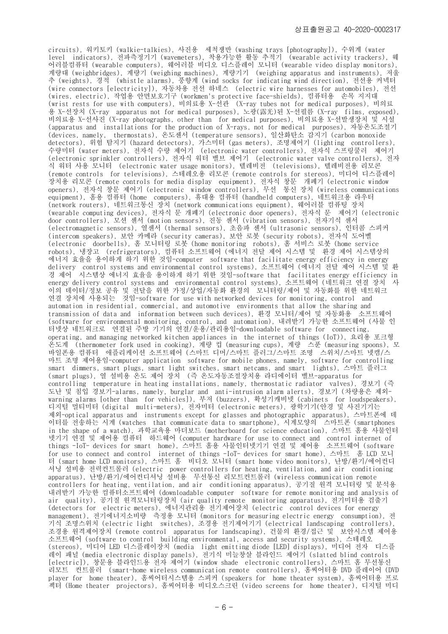circuits), 워키토키 (walkie-talkies), 사진용 세척쟁반 (washing trays [photography]), 수위계 (water level indicators), 전파측정기기 (wavemeters), 착용가능한 활동 추적기 (wearable activity trackers), 웨 어러블컴퓨터 (wearable computers), 웨어러블 비디오 디스플레이 모니터 (wearable video display monitors), 계량대 (weighbridges), 계량기 (weighing machines), 계량기기 (weighing apparatus and instruments), 저울 추 (weights), 경적 (whistle alarms), 풍향계 (wind socks for indicating wind direction), 전선용 커넥터 (wire connectors [electricity]), 자동차용 전선 하네스 (electric wire harnesses for automobiles), 전선 (wires, electric), 작업용 안면보호기구 (workmen's protective face-shields), 컴퓨터용 손목 지지대 (wrist rests for use with computers), 비의료용 X-선관 (X-ray tubes not for medical purposes), 비의료 용 X-선장치 (X-ray apparatus not for medical purposes), 노광(露光)된 X-선필름 (X-ray films, exposed), 비의료용 X-선사진 (X-ray photographs, other than for medical purposes), 비의료용 X-선발생장치 및 시설 (apparatus and installations for the production of X-rays, not for medical purposes), 자동온도조절기 (devices, namely, thermostats), 온도센서 (temperature sensors), 일산화탄소 감지기 (carbon monoxide detectors), 위험 탐지기 (hazard detectors), 가스미터 (gas meters), 조명제어기 (lighting controllers), 수량미터 (water meters), 전자식 수량 제어기 (electronic water controllers), 전자식 스프링쿨러 제어기 (electronic sprinkler controllers), 전자식 워터 밸브 제어기 (electronic water valve controllers), 전자 식 워터 사용 모니터 (electronic water usage monitors), 텔레비전 (televisions), 텔레비전용 리모콘 (remote controls for televisions), 스테레오용 리모콘 (remote controls for stereos), 미디어 디스플레이 장치용 리모콘 (remote controls for media display equipment), 전자식 창문 개폐기 (electronic window openers), 전자식 창문 제어기 (electronic window controllers), 무선 통신 장치 (wireless communications equipment), 홈용 컴퓨터 (home computers), 휴대용 컴퓨터 (handheld computers), 네트워크용 라우터 (network routers), 네트워크통신 장치 (network communications equipment), 웨어러블 컴퓨팅 장치 (wearable computing devices), 전자식 문 개폐기 (electronic door openers), 전자식 문 제어기 (electronic door controllers), 모션 센서 (motion sensors), 진동 센서 (vibration sensors), 전자기식 센서 (electromagnetic sensors), 열센서 (thermal sensors), 초음파 센서 (ultrasonic sensors), 인터콤 스피커 (intercom speakers), 보안 카메라 (security cameras), 보안 로봇 (security robots), 전자식 도어벨 (electronic doorbells), 홈 모니터링 로봇 (home monitoring robots), 홈 서비스 로봇 (home service robots), 냉장고 (refrigerators), 컴퓨터 소프트웨어 (에너지 전달 제어 시스템 및 환경 제어 시스템상의 에너지 효율을 용이하게 하기 위한 것임-computer software that facilitate energy efficiency in energy delivery control systems and environmental control systems), 소프트웨어 (에너지 전달 제어 시스템 및 환 경 제어 시스템상 에너지 효율을 용이하게 하기 위한 것임-software that facilitates energy efficiency in energy delivery control systems and environmental control systems), 소프트웨어 (네트워크 연결 장치 사 이의 데이터/정보 공유 및 전달을 위한 가정/상업/자동화 환경의 모니터링/제어 및 자동화를 위한 네트워크 연결 장치에 사용되는 것임-software for use with networked devices for monitoring, control and automation in residential, commercial, and automotive environments that allow the sharing and transmission of data and information between such devices), 환경 모니터/제어 및 자동화용 소프트웨어 (software for environmental monitoring, control, and automation), 내려받기 가능한 소프트웨어 (사물 인 터넷상 네트워크로 연결된 주방 기기의 연결/운용/관리용임-downloadable software for connecting, operating, and managing networked kitchen appliances in the internet of things (IoT)), 요리용 포크형 온도계 (thermometer fork used in cooking), 계량 컵 (measuring cups), 계량 스푼 (measuring spoons), 모 바일폰용 컴퓨터 애플리케이션 소프트웨어 (스마트 디머/스마트 플러그/스마트 조명 스위치/스마트 넷캠/스 마트 조명 제어용임-computer application software for mobile phones, namely, software for controlling smart dimmers, smart plugs, smart light switches, smart netcams, and smart lights), 스마트 플러그 (smart plugs), 열 설비용 온도 제어 장치 (즉 온도자동조절장치용 라디에이터 밸브-apparatus for controlling temperature in heating installations, namely, thermostatic radiator valves), 경보기 (즉 도난 및 침입 경보기-alarms, namely, burglar and anti-intrusion alarm alerts), 경보기 (차량용은 제외warning alarms [other than for vehicles]), 부저 (buzzers), 확성기캐비넷 (cabinets for loudspeakers), 디지털 멀티미터 (digital multi-meters), 전자미터 (electronic meters), 광학기기(안경 및 사진기기는 제외-optical apparatus and instruments except for glasses and photographic apparatus), 스마트폰에 데 이터를 전송하는 시계 (watches that communicate data to smartphone), 시계모양의 스마트폰 (smartphones in the shape of a watch), 과학교육용 마더보드 (motherboard for science education), 스마트 홈용 사물인터 넷기기 연결 및 제어용 컴퓨터 하드웨어 (computer hardware for use to connect and control internet of things -IoT- devices for smart home), 스마트 홈용 사물인터넷기기 연결 및 제어용 소프트웨어 (software for use to connect and control internet of things -IoT- devices for smart home), 스마트 홈 LCD 모니 터 (smart home LCD monitors), 스마트 홈 비디오 모니터 (smart home video monitors), 난방/환기/에어컨디 셔닝 설비용 전력컨트롤러 (electric power controllers for heating, ventilation, and air conditioning apparatus), 난방/환기/에어컨디셔닝 설비용 무선통신 리모트컨트롤러 (wireless communication remote controllers for heating, ventilation, and air conditioning apparatus), 공기질 원격 모니터링 및 분석용 내려받기 가능한 컴퓨터소프트웨어 (downloadable computer software for remote monitoring and analysis of air quality), 공기질 원격모니터링장치 (air quality remote monitoring apparatus), 전기미터용 검출기 (detectors for electric meters), 에너지관리용 전기제어장치 (electric control devices for energy management), 전기에너지소비량 측정용 모니터 (monitors for measuring electric energy consumption), 전 기식 조명스위치 (electric light switches), 조경용 전기제어기기 (electrical landscaping controllers), 조경용 원격제어장치 (remote control apparatus for landscaping), 건물의 환경/접근 및 보안시스템 제어용 소프트웨어 (software to control building environmental, access and security systems), 스테레오 (stereos), 미디어 LED 디스플레이장치 (media light emitting diode [LED] displays), 미디어 전자 디스플 레이 패널 (media electronic display panels), 전기식 미늘창살 블라인드 제어기 (slatted blind controls [electric]), 창문용 블라인드용 전자 제어기 (window shade electronic controllers), 스마트 홈 무선통신 리모트 컨트롤러 (smart-home wireless communication remote controllers), 홈씨어터용 DVD 플레이어 (DVD player for home theater), 홈씨어터시스템용 스피커 (speakers for home theater system), 홈씨어터용 프로 젝터 (Home theater projectors), 홈씨어터용 비디오스크린 (video screens for home theater), 디지털 미디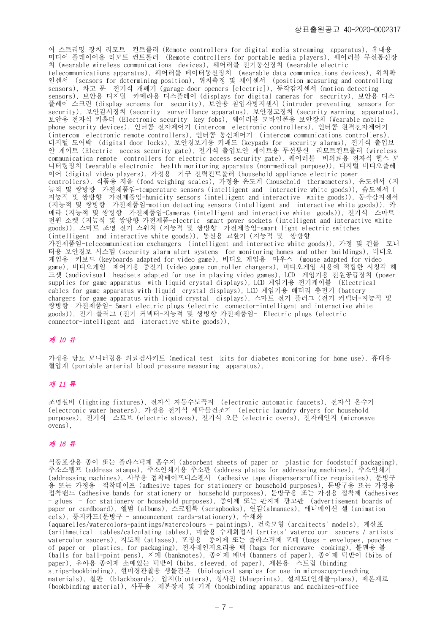어 스트리밍 장치 리모트 컨트롤러 (Remote controllers for digital media streaming apparatus), 휴대용 미디어 플레이어용 리모트 컨트롤러 (Remote controllers for portable media players), 웨어러블 무선통신장 치 (wearable wireless communications devices), 웨어러블 전기통신장치 (wearable electric telecommunications apparatus), 웨어러블 데이터통신장치 (wearable data communications devices), 위치확 인센서 (sensors for determining position), 위치측정 및 제어센서 (position measuring and controlling sensors), 차고 문 전기식 개폐기 (garage door openers [electric]), 동작감지센서 (motion detecting sensors), 보안용 디지털 카메라용 디스플레이 (displays for digital cameras for security), 보안용 디스 플레이 스크린 (display screens for security), 보안용 침입자방지센서 (intruder preventing sensors for security), 보안감시장치 (security surveillance apparatus), 보안경고장치 (security warning apparatus), 보안용 전자식 키홀더 (Electronic security key fobs), 웨어러블 모바일폰용 보안장치 (Wearable mobile phone security devices), 인터콤 전자제어기 (intercom electronic controllers), 인터콤 원격전자제어기 (intercom electronic remote controllers), 인터콤 통신제어기 (intercom communications controllers), 디지털 도어락 (digital door locks), 보안경보기용 키패드 (keypads for security alarms), 전기식 출입보 안 게이트 (Electric access security gate), 전기식 출입보안 게이트용 무선통신 리모트컨트롤러 (wireless communication remote controllers for electric access security gate), 웨어러블 비의료용 전자식 헬스 모 니터링장치 (wearable electronic health monitoring apparatus (non-medical purpose)), 디지털 비디오플레 이어 (digital video players), 가정용 기구 전력컨트롤러 (household appliance electric power controllers), 식품용 저울 (food weighing scales), 가정용 온도계 (household thermometers), 온도센서 (지 능적 및 쌍방향 가전제품임-temperature sensors (intelligent and interactive white goods)), 습도센서 ( 지능적 및 쌍방향 가전제품임-humidity sensors (intelligent and interactive white goods)), 동작감지센서 (지능적 및 쌍방향 가전제품임-motion detecting sensors (intelligent and interactive white goods)), 카 메라 (지능적 및 쌍방향 가전제품임-Cameras (intelligent and interactive white goods)), 전기식 스마트 전원 소켓 (지능적 및 쌍방향 가전제품-electric smart power sockets (intelligent and interactive white goods)), 스마트 조명 전기 스위치 (지능적 및 쌍방향 가전제품임-smart light electric switches (intelligent and interactive white goods)), 통신용 교환기 (지능적 및 쌍방향 가전제품임-telecommunication exchangers (intelligent and interactive white goods)), 가정 및 건물 모니 터용 보안경보 시스템 (security alarm alert systems for monitoring homes and other buildings), 비디오 게임용 키보드 (keyboards adapted for video game), 비디오 게임용 마우스 (mouse adapted for video game), 비디오게임 제어기용 충전기 (video game controller chargers), 비디오게임 사용에 적합한 시청각 헤 드셋 (audiovisual headsets adapted for use in playing video games), LCD 게임기용 전원공급장치 (power supplies for game apparatus with liquid crystal displays), LCD 게임기용 전기케이블 (Electrical cables for game apparatus with liquid crystal displays), LCD 게임기용 배터리 충전기 (battery chargers for game apparatus with liquid crystal displays), 스마트 전기 플러그 (전기 커넥터-지능적 및 쌍방향 가전제품임- Smart electric plugs (electric connector-intelligent and interactive white goods)), 전기 플러그 (전기 커넥터-지능적 및 쌍방향 가전제품임- Electric plugs (electric connector-intelligent and interactive white goods)),

### 제 10 류

가정용 당뇨 모니터링용 의료검사키트 (medical test kits for diabetes monitoring for home use), 휴대용 혈압계 (portable arterial blood pressure measuring apparatus),

### 제 11 류

조명설비 (lighting fixtures), 전자식 자동수도꼭지 (electronic automatic faucets), 전자식 온수기 (electronic water heaters), 가정용 전기식 세탁물건조기 (electric laundry dryers for household purposes), 전기식 스토브 (electric stoves), 전기식 오븐 (electric ovens), 전자레인지 (microwave ovens),

### 제 16 류

식품포장용 종이 또는 플라스틱제 흡수지 (absorbent sheets of paper or plastic for foodstuff packaging), 주소스탬프 (address stamps), 주소인쇄기용 주소판 (address plates for addressing machines), 주소인쇄기 (addressing machines), 사무용 접착테이프디스펜서 (adhesive tape dispensers-office requisites), 문방구 용 또는 가정용 접착테이프 (adhesive tapes for stationery or household purposes), 문방구용 또는 가정용 접착밴드 (adhesive bands for stationery or household purposes), 문방구용 또는 가정용 접착제 (adhesives - glues - for stationery or household purposes), 종이제 또는 판지제 광고판 (advertisement boards of paper or cardboard), 앨범 (albums), 스크랩북 (scrapbooks), 연감(almanacs), 애니메이션 셀 (animation cels), 통지카드(문방구 - announcement cards-stationery), 수채화 (aquarelles/watercolors-paintings/watercolours - paintings), 건축모형 (architects' models), 계산표 (arithmetical tables/calculating tables), 미술용 수채화접시 (artists' watercolour saucers / artists' watercolor saucers), 지도책 (atlases), 포장용 종이제 또는 플라스틱제 포대 (bags - envelopes, pouches of paper or plastics, for packaging), 전자레인지요리용 백 (bags for microwave cooking), 볼펜용 볼 (balls for ball-point pens), 지폐 (banknotes), 종이제 배너 (banners of paper), 종이제 턱받이 (bibs of paper), 유아용 종이제 소매있는 턱받이 (bibs, sleeved, of paper), 제본용 스트립 (binding strips-bookbinding), 현미경관찰용 생물견본 (biological samples for use in microscopy-teaching

materials), 칠판 (blackboards), 압지(blotters), 청사진 (blueprints), 설계도(인쇄물-plans), 제본재료 (bookbinding material), 사무용 제본장치 및 기계 (bookbinding apparatus and machines-office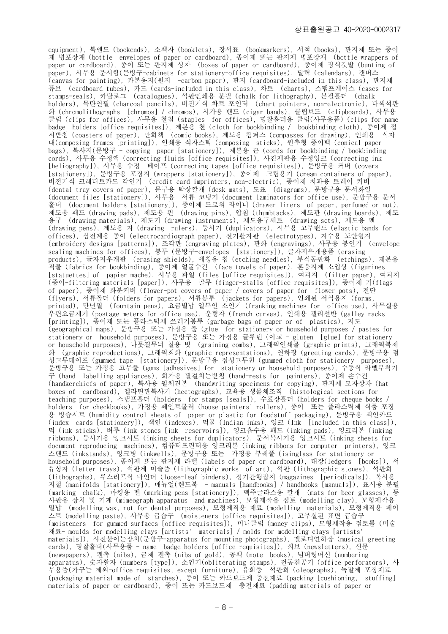equipment), 북엔드 (bookends), 소책자 (booklets), 장서표 (bookmarkers), 서적 (books), 판지제 또는 종이 제 병포장재 (bottle envelopes of paper or cardboard), 종이제 또는 판지제 병포장재 (bottle wrappers of paper or cardboard), 종이 또는 판지제 상자 (boxes of paper or cardboard), 종이제 장식깃발 (bunting of paper), 사무용 문서함(문방구-cabinets for stationery-office requisites), 달력 (calendars), 캔버스 (canvas for painting), 카본용지(원지 -carbon paper), 판지 (cardboard-included in this class), 판지제 튜브 (cardboard tubes), 카드 (cards-included in this class), 차트 (charts), 스탬프케이스 (cases for stamps-seals), 카탈로그 (catalogues), 석판인쇄용 분필 (chalk for lithography), 분필홀더 (chalk holders), 목탄연필 (charcoal pencils), 비전기식 차트 포인터 (chart pointers, non-electronic), 다색석판 화 (chromolithographs [chromos] / chromos), 시가용 밴드 (cigar bands), 클립보드 (clipboards), 사무용 클립 (clips for offices), 사무용 철침 (staples for offices), 명찰홀더용 클립(사무용품) (clips for name badge holders [office requisites]), 제본용 천 (cloth for bookbinding / bookbinding cloth), 종이제 접 시받침 (coasters of paper), 만화책 (comic books), 제도용 컴퍼스 (compasses for drawing), 인쇄용 식자 대(composing frames [printing]), 인쇄용 식자스틱 (composing sticks), 원추형 종이백 (conical paper bags), 복사지(문방구 - copying paper [stationery]), 제본용 끈 (cords for bookbinding / bookbinding cords), 사무용 수정액 (correcting fluids [office requisites]), 사진제판용 수정잉크 (correcting ink [heliography]), 사무용 수정 테이프 (correcting tapes [office requisites]), 문방구용 커버 (covers [stationery]), 문방구용 포장지 (wrappers [stationery]), 종이제 크림용기 (cream containers of paper), 비전기식 크레디트카드 각인기 (credit card imprinters, non-electric), 종이제 치과용 트레이 커버 (dental tray covers of paper), 문구용 탁상깔개 (desk mats), 도표 (diagrams), 문방구용 문서화일 (document files [stationery]), 사무용 서류 코팅기 (document laminators for office use), 문방구용 문서 홀더 (document holders [stationery]), 종이제 드로워 라이너 (drawer liners of paper, perfumed or not), 제도용 패드 (drawing pads), 제도용 핀 (drawing pins), 압침 (thumbtacks), 제도판 (drawing boards), 제도 용구 (drawing materials), 제도기 (drawing instruments), 제도용구세트 (drawing sets), 제도용 펜 (drawing pens), 제도용 자 (drawing rulers), 등사기 (duplicators), 사무용 고무밴드 (elastic bands for offices), 심전계용 종이 (electrocardiograph paper), 전기활자판 (electrotypes), 자수용 도안형지 (embroidery designs [patterns]), 조각판 (engraving plates), 판화 (engravings), 사무용 봉인기 (envelope sealing machines for offices), 봉투 (문방구-envelopes [stationery]), 글자지우개용품 (erasing products), 글자지우개판 (erasing shields), 에칭용 침 (etching needles), 부식동판화 (etchings), 제본용 직물 (fabrics for bookbinding), 종이제 얼굴수건 (face towels of paper), 혼응지제 소입상 (figurines [statuettes] of papier mache), 사무용 파일 (files [office requisites]), 여과지 (filter paper), 여과지 (종이-filtering materials [paper]), 사무용 골무 (finger-stalls [office requisites]), 종이제 기(flags of paper), 종이제 화분커버 (flower-pot covers of paper / covers of paper for flower pots), 전단 (flyers), 서류폴더 (folders for papers), 서류봉투 (jackets for papers), 인쇄된 서식용지 (forms, printed), 만년필 (fountain pens), 요금별납 일부인 소인기 (franking machines for office use), 사무실용 우편요금계기 (postage meters for office use), 운형자 (french curves), 인쇄용 갤리선반 (galley racks [printing]), 종이제 또는 플라스틱제 쓰레기봉투 (garbage bags of paper or of plastics), 지도 (geographical maps), 문방구용 또는 가정용 풀 (glue for stationery or household purposes / pastes for stationery or household purposes), 문방구용 또는 가정용 글루텐 (아교 - gluten [glue] for stationery or household purposes), 나뭇결무늬 칠용 빗 (graining combs), 그래픽인쇄물 (graphic prints), 그래픽복제 화 (graphic reproductions), 그래픽회화 (graphic representations), 연하장 (greeting cards), 문방구용 점 성고무테이프 (gummed tape [stationery]), 문방구용 점성고무천 (gummed cloth for stationery purposes), 문방구용 또는 가정용 고무풀 (gums [adhesives] for stationery or household purposes), 수동식 라벨부착기 구 (hand labelling appliances), 화가용 팔걸치는받침 (hand-rests for painters), 종이제 손수건 (handkerchiefs of paper), 복사용 필체견본 (handwriting specimens for copying), 판지제 모자상자 (hat boxes of cardboard), 젤라틴판복사기 (hectographs), 교육용 생물체조직 (histological sections for teaching purposes), 스탬프홀더 (holders for stamps [seals]), 수표장홀더 (holders for cheque books / holders for checkbooks), 가정용 페인트롤러 (house painters' rollers), 종이 또는 플라스틱제 식품 포장 용 방습시트 (humidity control sheets of paper or plastic for foodstuff packaging), 문방구용 색인카드 (index cards [stationery]), 색인 (indexes), 먹물 (Indian inks), 잉크 (Ink [included in this class]), 먹 (ink sticks), 벼루 (ink stones [ink reservoirs]), 잉크흡수용 패드 (inking pads), 잉크리본 (inking ribbons), 등사기용 잉크시트 (inking sheets for duplicators), 문서복사기용 잉크시트 (inking sheets for document reproducing machines), 컴퓨터프린터용 잉크리본 (inking ribbons for computer printers), 잉크 스탠드 (inkstands), 잉크병 (inkwells), 문방구용 또는 가정용 부레풀 (isinglass for stationery or household purposes), 종이제 또는 판지제 라벨 (labels of paper or cardboard), 대장(ledgers [books]), 서 류상자 (letter trays), 석판제 미술품 (lithographic works of art), 석판 (lithographic stones), 석판화 (lithographs), 루스리프식 바인더 (loose-leaf binders), 정기간행잡지 (magazines [periodicals]), 복사용 지철 (manifolds [stationery]), 매뉴얼(핸드북 - manuals [handbooks] / handbooks [manuals]), 표시용 분필 (marking chalk), 마킹용 펜 (marking pens [stationery]), 맥주글라스용 깔개 (mats for beer glasses), 등 사판용 장치 및 기계 (mimeograph apparatus and machines), 모형제작용 점토 (modelling clay), 모형제작용 밀납 (modelling wax, not for dental purposes), 모형제작용 재료 (modelling materials), 모형제작용 페이 스트 (modelling paste), 사무용 급습구 (moisteners [office requisites]), 고무칠된 표면 급습구 (moisteners for gummed surfaces [office requisites]), 머니클립 (money clips), 모형제작용 점토틀 (미술 재료- moulds for modelling clays [artists' materials] / molds for modelling clays [artists' materials]), 사진붙이는장치(문방구-apparatus for mounting photographs), 멜로디연하장 (musical greeting cards), 명찰홀더(사무용품 - name badge holders [office requisites]), 회보 (newsletters), 신문 (newspapers), 펜촉 (nibs), 금제 펜촉 (nibs of gold), 공책 (note books), 넘버링머신 (numbering apparatus), 숫자활자 (numbers [type]), 소인기(obliterating stamps), 전동천공기 (office perforators), 사 무용품(가구는 제외-office requisites, except furniture), 유화풍 석판화 (oleographs), 녹말제 포장재료 (packaging material made of starches), 종이 또는 카드보드제 충전재료 (packing [cushioning, stuffing] materials of paper or cardboard), 종이 또는 카드보드제 충전재료 (padding materials of paper or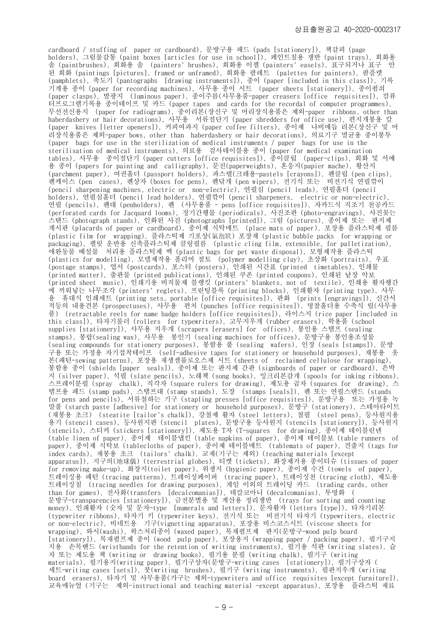cardboard / stuffing of paper or cardboard), 문방구용 패드 (pads [stationery]), 책갈피 (page holders), 그림물감통 (paint boxes [articles for use in school]), 페인트칠용 쟁반 (paint trays), 회화용 솔 (paintbrushes), 회화용 솔 (painters' brushes), 회화용 이젤 (painters' easels), 표구되거나 표구 안 된 회화 (paintings [pictures], framed or unframed), 회화용 팔레트 (palettes for painters), 팜플렛 (pamphlets), 축도기 (pantographs [drawing instruments]), 종이 (paper [included in this class]), 기록 기계용 종이 (paper for recording machines), 사무용 종이 시트 (paper sheets [stationery]), 종이죔쇠 (paper clasps), 발광지 (luminous paper), 종이주름(사무용품-paper creasers [office requisites]), 컴퓨 터프로그램기록용 종이테이프 및 카드 (paper tapes and cards for the recordal of computer programmes), 무선전신용지 (paper for radiograms), 종이리본(장신구 및 머리장식용품은 제외-paper ribbons, other than haberdashery or hair decorations), 사무용 서류절단기 (paper shredders for office use), 편지개봉용 칼 (paper knives [letter openers]), 커피여과지 (paper coffee filters), 종이제 나비매듭 리본(장신구 및 머 리장식용품은 제외-paper bows, other than haberdashery or hair decorations), 의료기구 멸균용 종이봉투 (paper bags for use in the sterilization of medical instruments / paper bags for use in the sterilisation of medical instruments), 의료용 검사테이블용 종이 (paper for medical examination tables), 사무용 종이절단기 (paper cutters [office requisites]), 종이클립 (paper-clips), 회화 및 서예 용 종이 (papers for painting and calligraphy), 문진(paperweights), 혼응지(papier mache), 황산지 (parchment paper), 여권홀더 (passport holders), 파스텔(크레용-pastels [crayons]), 펜클립 (pen clips), 펜케이스 (pen cases), 펜상자 (boxes for pens), 펜닦개 (pen wipers), 전기식 또는 비전기식 연필깎이 (pencil sharpening machines, electric or non-electric), 연필심 (pencil leads), 연필홀더 (pencil holders), 연필심홀더 (pencil lead holders), 연필깎이 (pencil sharpeners, electric or non-electric), 연필 (pencils), 펜대 (penholders), 펜 (사무용품 - pens [office requisites]), 자카드식 직조기 천공카드 (perforated cards for Jacquard looms), 정기간행물 (periodicals), 사진조판 (photo-engravings), 사진꽂는 스탠드 (photograph stands), 인화된 사진 (photographs [printed]), 그림 (pictures), 종이제 또는 판지제 게시판 (placards of paper or cardboard), 종이제 식탁매트 (place mats of paper), 포장용 플라스틱제 필름 (plastic film for wrapping), 플라스틱제 기포상(氣泡狀) 포장재 (plastic bubble packs for wrapping or packaging), 팰릿 운반용 신축플라스틱제 클링필름 (plastic cling film, extensible, for palletization), 애완동물 배설물 처리용 플라스틱제 백 (plastic bags for pet waste disposal), 모형제작용 플라스틱 (plastics for modelling), 모델제작용 폴리머 점토 (polymer modelling clay), 초상화 (portraits), 우표 (postage stamps), 엽서 (postcards), 포스터 (posters), 인쇄된 시간표 (printed timetables), 인쇄물 (printed matter), 출판물 (printed publications), 인쇄된 쿠폰 (printed coupons), 인쇄된 낱장 악보 (printed sheet music), 인쇄기용 비직물제 블랭킷 (printers' blankets, not of textile), 인쇄용 활자행간 에 끼워넣는 나무조각 (printers' reglets), 프린팅블록 (printing blocks), 인쇄활자 (printing type), 사무 용 휴대식 인쇄세트 (printing sets, portable [office requisites]), 판화 (prints [engravings]), 신간서 적등의 내용견본 (prospectuses), 사무용 펀치 (punches [office requisites]), 명찰홀더용 수축식 릴(사무용 품) (retractable reels for name badge holders [office requisites]), 라이스지 (rice paper [included in this class]), 타자기롤러 (rollers for typewriters), 고무지우개 (rubber erasers), 학용품 (school supplies [stationery]), 사무용 지우개 (scrapers [erasers] for offices), 봉인용 스탬프 (sealing stamps), 봉랍(sealing wax), 사무용 봉인기 (sealing machines for offices), 문방구용 봉인용조성물 (sealing compounds for stationery purposes), 봉함용 풀 (sealing wafers), 인장 (seals [stamps]), 문방 구용 또는 가정용 자기접착테이프 (self-adhesive tapes for stationery or household purposes), 재봉용 옷 본(패턴-sewing patterns), 포장용 재생셀룰로오스제 시트 (sheets of reclaimed cellulose for wrapping), 봉함용 종이 (shields [paper seals]), 종이제 또는 판지제 간판 (signboards of paper or cardboard), 은박 지 (silver paper), 석필 (slate pencils), 노래책 (song books), 잉크리본감개 (spools for inking ribbons), 스프레이분필 (spray chalk), 직각자 (square rulers for drawing), 제도용 곱자 (squares for drawing), 스 탬프용 패드 (stamp pads), 스탬프대 (stamp stands), 도장 (stamps [seals]), 펜 또는 연필스탠드 (stands for pens and pencils), 서류철하는 기구 (stapling presses [office requisites]), 문방구용 또는 가정용 녹 말풀 (starch paste [adhesive] for stationery or household purposes), 문방구 (stationery), 스테아타이트 (재봉용 초크) (steatite [tailor's chalk]), 강철제 활자 (steel letters), 철필 (steel pens), 등사원지용 용기 (stencil cases), 등사원지판 (stencil plates), 문방구용 등사원지 (stencils [stationery]), 등사원지 (stencils), 스티커 (stickers [stationery]), 제도용 T자 (T-squares for drawing), 종이제 테이블린넨 (table linen of paper), 종이제 테이블냅킨 (table napkins of paper), 종이제 테이블보 (table runners of paper), 종이제 식탁보 (tablecloths of paper), 종이제 테이블매트 (tablemats of paper), 견출지 (tags for index cards), 재봉용 초크 (tailors' chalk), 교재(기구는 제외) (teaching materials [except apparatus]), 지구의(地球儀) (terrestrial globes), 티켓 (tickets), 화장제거용 종이티슈 (tissues of paper for removing make-up), 화장지(toilet paper), 위생지 (hygienic paper), 종이제 수건 (towels of paper), 트레이싱용 패턴 (tracing patterns), 트레이싱페이퍼 (tracing paper), 트레이싱천 (tracing cloth), 제도용 트레이싱침 (tracing needles for drawing purposes), 게임 이외의 트레이딩 카드 (trading cards, other than for games), 전사화(transfers [decalcomanias]), 데칼코마니 (decalcomanias), 투명화 ( 문방구-transparencies [stationery]), 금전분별용 및 계산용 정리쟁반 (trays for sorting and counting money), 인쇄활자 (숫자 및 문자-type [numerals and letters]), 문자활자 (letters [type]), 타자기리본 (typewriter ribbons), 타자기 키 (typewriter keys), 전기식 또는 비전기식 타자기 (typewriters, electric or non-electric), 비네트용 기구(vignetting apparatus), 포장용 비스코스시트 (viscose sheets for wrapping), 와시(washi), 왁스처리종이 (waxed paper), 목재펄프제 판지(문방구-wood pulp board [stationery]), 목재펄프제 종이 (wood pulp paper), 포장용지 (wrapping paper / packing paper), 필기구지 지용 손목밴드 (wristbands for the retention of writing instruments), 필기용 석판 (writing slates), 습 자 또는 제도용 책 (writing or drawing books), 필기용 분필 (writing chalk), 필기구 (writing materials), 필기용지(writing paper), 필기구상자(문방구-writing cases [stationery]), 필기구상자 ( 세트-writing cases [sets]), 붓(writing brushes), 필기구 (writing instruments), 필판지우개 (writing board erasers), 타자기 및 사무용품(가구는 제외-typewriters and office requisites [except furniture]), 교육매뉴얼 (기구는 제외-instructional and teaching material -except apparatus), 포장용 플라스틱 재료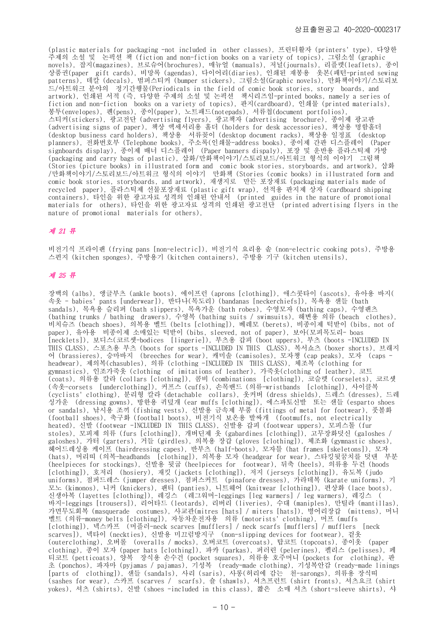(plastic materials for packaging -not included in other classes), 프린터활자 (printers' type), 다양한 주제의 소설 및 논픽션 책 (fiction and non-fiction books on a variety of topics), 그림소설 (graphic novels), 잡지(magazines), 브로슈어(brochures), 매뉴얼 (manuals), 저널(journals), 리플렛(leaflets), 종이 상품권(paper gift cards), 비망록 (agendas), 다이어리(diaries), 인쇄된 재봉용 옷본(패턴-printed sewing patterns), 데칼 (decals), 범퍼스티커 (bumper stickers), 그림소설(Graphic novels), 만화책이야기/스토리보 드/아트워크 분야의 정기간행물(Periodicals in the field of comic book stories, story boards, and artwork), 인쇄된 서적 (즉, 다양한 주제의 소설 및 논픽션 책시리즈임-printed books, namely a series of fiction and non-fiction books on a variety of topics), 판지(cardboard), 인쇄물 (printed materials), 봉투(envelopes), 펜(pens), 종이(paper), 노트패드(notepads), 서류첩(document portfolios), 스티커(stickers), 광고전단 (advertising flyers), 광고책자 (advertising brochure), 종이제 광고판 (advertising signs of paper), 책상 액세서리용 홀더 (holders for desk accessories), 책상용 명함홀더 (desktop business card holders), 책상용 서류꽂이 (desktop document racks), 책상용 일정표 (desktop planners), 전화번호부 (Telephone books), 주소록(인쇄물-address books), 종이제 간판 디스플레이 (Paper signboards display), 종이제 배너 디스플레이 (Paper banners dispaly), 포장 및 운반용 플라스틱제 가방 (packaging and carry bags of plastic), 삽화/만화책이야기/스토리보드/아트워크 형식의 이야기 그림책 (Stories (picture books) in illustrated form and comic book stories, storyboards, and artwork), 삽화 /만화책이야기/스토리보드/아트워크 형식의 이야기 만화책 (Stories (comic books) in illustrated form and comic book stories, storyboards, and artwork), 재생지로 만든 포장재료 (packaging materials made of recycled paper), 플라스틱제 선물포장재료 (plastic gift wrap), 선적용 판지제 상자 (cardboard shipping containers), 타인을 위한 광고자료 성격의 인쇄된 안내서 (printed guides in the nature of promotional materials for others), 타인을 위한 광고자료 성격의 인쇄된 광고전단 (printed advertising flyers in the nature of promotional materials for others),

### 제 21 류

비전기식 프라이팬 (frying pans [non-electric]), 비전기식 요리용 솥 (non-electric cooking pots), 주방용 스펀지 (kitchen sponges), 주방용기 (kitchen containers), 주방용 기구 (kitchen utensils),

### 제 25 류

장백의 (albs), 앵글부츠 (ankle boots), 에이프런 (aprons [clothing]), 애스콧타이 (ascots), 유아용 바지( 속옷 - babies' pants [underwear]), 반다나(목도리) (bandanas [neckerchiefs]), 목욕용 샌들 (bath sandals), 목욕용 슬리퍼 (bath slippers), 목욕가운 (bath robes), 수영모자 (bathing caps), 수영팬츠 (bathing trunks / bathing drawers), 수영복 (bathing suits / swimsuits), 해변용 의류 (beach clothes), 비치슈즈 (beach shoes), 의복용 벨트 (belts [clothing]), 베레모 (berets), 비종이제 턱받이 (bibs, not of paper), 유아용 비종이제 소매있는 턱받이 (bibs, sleeved, not of paper), 보아(모피목도리- boas [necklets]), 보디스(코르셋-bodices [lingerie]), 부츠용 갑피 (boot uppers), 부츠 (boots -INCLUDED IN THIS CLASS), 스포츠용 부츠 (boots for sports -INCLUDED IN THIS CLASS), 복서쇼츠 (boxer shorts), 브래지 어 (brassieres), 승마바지 (breeches for wear), 캐미솔 (camisoles), 모자챙 (cap peaks), 모자 (caps headwear), 제의복(chasubles), 의류 (clothing -INCLUDED IN THIS CLASS), 체조복 (clothing for gymnastics), 인조가죽옷 (clothing of imitations of leather), 가죽옷(clothing of leather), 코트 (coats), 의류용 칼라 (collars [clothing]), 콤비 (combinations [clothing]), 코슬렛 (corselets), 코르셋 (속옷-corsets [underclothing]), 커프스 (cuffs), 손목밴드 (의류-wristbands [clothing]), 사이클복 (cyclists' clothing), 분리형 칼라 (detachable collars), 옷커버 (dress shields), 드레스 (dresses), 드레 싱가운 (dressing gowns), 방한용 귀덮개 (ear muffs [clothing]), 에스파토신발 또는 샌들 (esparto shoes or sandals), 낚시용 조끼 (fishing vests), 신발용 금속제 부품 (fittings of metal for footwear), 풋볼화 (football shoes), 축구화 (football boots), 비전기식 보온용 발싸개 (footmuffs, not electrically heated), 신발 (footwear -INCLUDED IN THIS CLASS), 신발용 갑피 (footwear uppers), 모피스톨 (fur stoles), 모피제 의류 (furs [clothing]), 개버딘제 옷 (gabardines [clothing]), 고무장화덧신 (galoshes / galoshes), 가터 (garters), 거들 (girdles), 의복용 장갑 (gloves [clothing]), 체조화 (gymnastic shoes), 헤어드레싱용 케이프 (hairdressing capes), 반부츠 (half-boots), 모자틀 (hat frames [skeletons]), 모자 (hats), 머리띠 (의복-headbands [clothing]), 의복용 모자 (headgear for wear), 스타킹뒷꿈치를 덧댄 부분 (heelpieces for stockings), 신발용 뒷굽 (heelpieces for footwear), 뒤축 (heels), 의류용 두건 (hoods [clothing]), 호저리 (hosiery), 재킷 (jackets [clothing]), 저지 (jerseys [clothing]), 유도복 (judo uniforms), 점퍼드레스 (jumper dresses), 점퍼스커트 (pinafore dresses), 가라데복 (karate uniforms), 기 모노 (kimonos), 니커 (knickers), 팬티 (panties), 니트웨어 (knitwear [clothing]), 편상화 (lace boots), 신생아복 (layettes [clothing]), 레깅스 (레그워머-leggings [leg warmers] / leg warmers), 레깅스 ( 바지-leggings [trousers]), 리어타드 (leotards), 리버리 (liveries), 수대 (maniples), 만틸라 (mantillas), 가면무도회복 (masquerade costumes), 사교관(mitres [hats] / miters [hats]), 벙어리장갑 (mittens), 머니 벨트 (의류-money belts [clothing]), 자동차운전자용 의류 (motorists' clothing), 머프 (muffs [clothing]), 넥스카프 (머플러-neck scarves [mufflers] / neck scarfs [mufflers] / mufflers [neck scarves]), 넥타이 (neckties), 신발용 미끄럼방지구 (non-slipping devices for footwear), 겉옷 (outerclothing), 오버롤 (overalls / mocks), 오버코트 (overcoats), 탑코트 (topcoats), 종이옷 (paper clothing), 종이 모자 (paper hats [clothing]), 파카 (parkas), 퍼러린 (pelerines), 펠리스 (pelisses), 페 티코트 (petticoats), 양복 장식용 손수건 (pocket squares), 의류용 호주머니 (pockets for clothing), 판 초 (ponchos), 파자마 (pyjamas / pajamas), 기성복 (ready-made clothing), 기성복안감 (ready-made linings [parts of clothing]), 샌들 (sandals), 사리 (saris), 사롱(허리에 감는 천-sarongs), 의류용 장식띠 (sashes for wear), 스카프 (scarves / scarfs), 숄 (shawls), 셔츠프런트 (shirt fronts), 셔츠요크 (shirt yokes), 셔츠 (shirts), 신발 (shoes -included in this class), 짧은 소매 셔츠 (short-sleeve shirts), 샤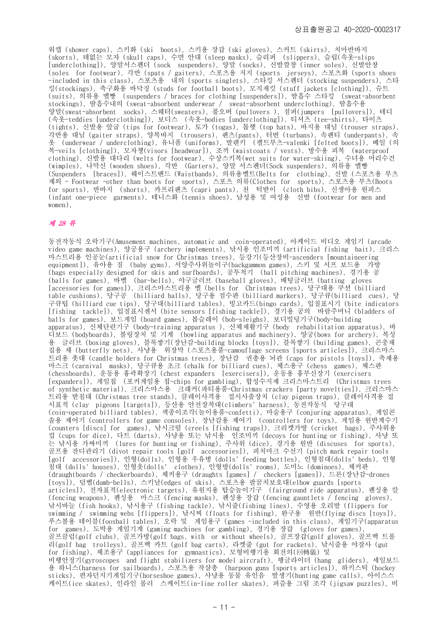워캡 (shower caps), 스키화 (ski boots), 스키용 장갑 (ski gloves), 스커트 (skirts), 치마반바지 (skorts), 테없는 모자 (skull caps), 수면 안대 (sleep masks), 슬리퍼 (slippers), 슬립(속옷-slips [underclothing]), 양말서스펜더 (sock suspenders), 양말 (socks), 신발깔창 (inner soles), 신발안창 (soles for footwear), 각반 (spats / gaiters), 스포츠용 저지 (sports jerseys), 스포츠화 (sports shoes -included in this class), 스포츠용 내의 (sports singlets), 스타킹 서스펜더 (stocking suspenders), 스타 킹(stockings), 축구화용 바닥징 (studs for football boots), 모직재킷 (stuff jackets [clothing]), 슈트 (suits), 의류용 멜빵 (suspenders / braces for clothing [suspenders]), 땀흡수 스타킹 (sweat-absorbent stockings), 땀흡수내의 (sweat-absorbent underwear / sweat-absorbent underclothing), 땀흡수용 양말(sweat-absorbent socks), 스웨터(sweaters), 풀오버 (pullovers ), 점퍼(jumpers [pullovers]), 테디 (속옷-teddies [underclothing]), 보디스 (속옷-bodies [underclothing]), 티셔츠 (tee-shirts), 타이츠 (tights), 신발용 앞굽 (tips for footwear), 토가 (togas), 톱햇 (top hats), 바지용 대님 (trouser straps), 각반용 대님 (gaiter straps), 양복바지 (trousers), 팬츠(pants), 터번 (turbans), 속팬티 (underpants), 속 옷 (underwear / underclothing), 유니폼 (uniforms), 발렌키 (펠트부츠-valenki [felted boots]), 베일 (의 복-veils [clothing]), 모자챙(visors [headwear]), 조끼 (waistcoats / vests), 방수용 피복 (waterproof clothing), 신발용 대다리 (welts for footwear), 수상스키복(wet suits for water-skiing), 수녀용 머리수건 (wimples), 나막신 (wooden shoes), 각반 (Garters), 양말 서스펜더(Sock suspenders), 의류용 멜빵 (Suspenders [braces]), 웨이스트밴드 (Waistbands), 의류용벨트(Belts for clothing), 신발 (스포츠용 부츠 제외 - Footwear -other than boots for sports), 스포츠 의류(Clothes for sports), 스포츠용 부츠(Boots for sports), 반바지 (shorts), 카프리팬츠 (capri pants), 천 턱받이 (cloth bibs), 신생아용 원피스 (infant one-piece garments), 테니스화 (tennis shoes), 남성용 및 여성용 신발 (footwear for men and  $women$ )

#### 제 28 류

동전작동식 오락기구(Amusement machines, automatic and coin-operated), 아케이드 비디오 게임기 (arcade video game machines), 양궁용구 (archery implements), 낚시용 인조미끼 (artificial fishing bait), 크리스 마스트리용 인공눈(artificial snow for Christmas trees), 등강기(등산장비-ascenders [mountaineering equipment]), 유아용 짐 (baby gyms), 서양주사위놀이구(backgammon games), 스키 및 서프 보드용 가방 (bags especially designed for skis and surfboards), 공투척기 (ball pitching machines), 경기용 공 (balls for games), 바벨 (bar-bells), 야구글러브 (baseball gloves), 배팅글러브 (batting gloves [accessories for games]), 크리스마스트리용 벨 (bells for Christmas trees), 당구대용 쿠션 (billiard table cushions), 당구공 (billiard balls), 당구용 점수판 (billiard markers), 당구큐(billiard cues), 당 구큐팁 (billiard cue tips), 당구대(billiard tables), 빙고카드(bingo cards), 입질표시기 (bite indicators [fishing tackle]), 입질표시센서 (bite sensors [fishing tackle]), 경기용 공의 바람주머니 (bladders of balls for games), 보드게임 (board games), 봅슬레이 (bob-sleighs), 보디빌딩기구(body-building apparatus), 신체단련기구 (body-training apparatus ), 신체재활기구 (body rehabilitation apparatus), 바 디보드 (bodyboards), 볼링장치 및 기계 (bowling apparatus and machinery), 양궁(bows for archery), 복싱 용 글러브 (boxing gloves), 블록쌓기(장난감-building blocks [toys]), 블록쌓기 (building games), 곤충채 집용 채 (butterfly nets), 사냥용 위장막 (스포츠용품-camouflage screens [sports articles]), 크리스마스 트리용 촛대 (candle holders for Christmas trees), 장난감 권총용 뇌관 (caps for pistols [toys]), 축제용 마스크 (carnival masks), 당구큐용 초크 (chalk for billiard cues), 체스용구 (chess games), 체스판 (chessboards), 운동용 흉곽확장기 (chest expanders [exercisers]), 운동용 흉부신장기 (exercisers [expanders]), 게임칩 (포커게임용 칩-chips for gambling), 합성수지제 크리스마스트리 (Christmas trees of synthetic material), 크리스마스용 크래커(파티용품-Christmas crackers [party novelties]), 크리스마스 트리용 받침대 (Christmas tree stands), 클레이사격용 접시사출장치 (clay pigeon traps), 클레이사격용 접 시표적 (clay pigeons [targets]), 등산용 안전장착대(climbers' harness), 동전작동식 당구대 (coin-operated billiard tables), 색종이조각(놀이용품-confetti), 마술용구 (conjuring apparatus), 게임콘 솔용 제어기 (controllers for game consoles), 장난감용 제어기 (controllers for toys), 게임용 원반계수기 (counters [discs] for games), 낚시크릴 (creels [fishing traps]), 크리켓가방 (cricket bags), 주사위용 컵 (cups for dice), 다트 (darts), 사냥용 또는 낚시용 인조미끼 (decoys for hunting or fishing), 사냥 또 는 낚시용 가짜미끼 (lures for hunting or fishing), 주사위 (dice), 경기용 원반 (discuses for sports), 골프용 잔디관리기 (divot repair tools [golf accessories]), 피치마크 수선기 (pitch mark repair tools [golf accessories]), 인형(dolls), 인형용 우유병 (dolls' feeding bottles), 인형침대(dolls' beds), 인형 침대 (dolls' houses), 인형옷(dolls' clothes), 인형방(dolls' rooms), 도미노 (dominoes), 체커판 (draughtboards / checkerboards), 체커용구 (draughts [games] / checkers [games]), 드론(장난감-drones [toys]), 덤벨(dumb-bells), 스키날(edges of skis), 스포츠용 팔꿈치보호대(elbow guards [sports articles]), 전자표적(electronic targets), 유원지용 탑승놀이기구 (fairground ride apparatus), 펜싱용 칼 (fencing weapons), 펜싱용 마스크 (fencing masks), 펜싱용 장갑 (fencing gauntlets / fencing gloves), 낚시바늘 (fish hooks), 낚시용구 (fishing tackle), 낚시줄(fishing lines), 수영용 오리발 (flippers for swimming / swimming webs [flippers]), 낚시찌 (floats for fishing), 완구용 원반(flying discs [toys]), 푸스볼용 테이블(foosball tables), 오락 및 게임용구 (games -included in this class), 게임기구(apparatus for games), 도박용 게임기계 (gaming machines for gambling), 경기용 장갑 (gloves for games), 골프클럽(golf clubs), 골프가방(golf bags, with or without wheels), 골프장갑(golf gloves), 골프백 트롤 리(golf bag trolleys), 골프백 카트 (golf bag carts), 라켓줄 (gut for rackets), 낚시줄용 야잠사 (gut for fishing), 체조용구 (appliances for gymnastics), 모형비행기용 회전의(回轉儀) 및 비행안정기(gyroscopes and flight stabilizers for model aircraft), 행글라이더 (hang gliders), 세일보드 용 하니스(harness for sailboards), 스포츠용 작살총 (harpoon guns [sports articles]), 하키스틱 (hockey sticks), 편자던지기게임기구(horseshoe games), 사냥용 동물 유인음 발생기(hunting game calls), 아이스스 케이트(ice skates), 인라인 롤러 스케이트(in-line roller skates), 퍼즐용 그림 조각 (jigsaw puzzles), 비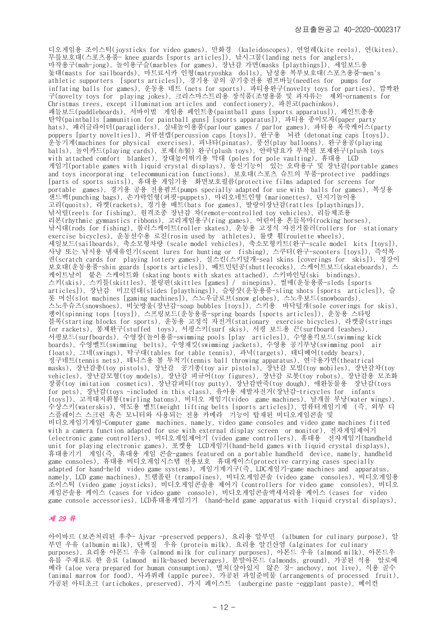디오게임용 조이스틱(joysticks for video games), 만화경 (kaleidoscopes), 연얼레(kite reels), 연(kites), 무릎보호대(스포츠용품- knee guards [sports articles]), 낚시그물(landing nets for anglers), 마작용구(mah-jong), 놀이용구슬(marbles for games), 장난감 가면(masks [playthings]), 세일보드용 돛대(masts for sailboards), 마트료시카 인형(matryoshka dolls), 남성용 복부보호대(스포츠용품-men's athletic supporters [sports articles]), 경기용 공의 공기충전용 펌프바늘(needles for pumps for inflating balls for games), 운동용 네트 (nets for sports), 파티용완구(novelty toys for parties), 깜짝완 구(novelty toys for playing jokes), 크리스마스트리용 장식품(조명용품 및 과자류는 제외-ornaments for Christmas trees, except illumination articles and confectionery), 파친코(pachinkos), 패들보드(paddleboards), 서바이벌 게임용 페인트총(paintball guns [sports apparatus]), 페인트총용 탄약(paintballs [ammunition for paintball guns] [sports apparatus]), 파티용 종이모자(paper party hats), 패러글라이더(paragliders), 실내놀이용품(parlour games / parlor games), 파티용 폭죽케이스(party poppers [party novelties]), 퍼큐션캡(percussion caps [toys]), 완구용 뇌관 (detonating caps [toys]), 운동기계(machines for physical exercises), 피나타(pinatas), 풍선(play balloons), 완구용공(playing balls), 놀이카드(playing cards), 포제(布製) 완구(plush toys), 안락담요가 부착된 포제완구(plush toys with attached comfort blanket), 장대높이뛰기용 막대 (poles for pole vaulting), 휴대용 LCD 게임기(portable games with liquid crystal displays), 통신기능이 있는 오락용구 및 장난감(portable games and toys incorporating telecommunication functions), 보호대(스포츠 슈트의 부품-protective paddings [parts of sports suits]), 휴대용 게임기용 화면보호필름(protective films adapted for screens for portable games), 경기용 공용 전용펌프(pumps specially adapted for use with balls for games), 복싱용 .<br>샌드백(punching bags), 손가락인형(퍼핏-puppets), 마리오네트인형 (marionettes), 던지기놀이용 고리(quoits), 라켓(rackets), 경기용 배트(bats for games), 딸랑이장난감(rattles [playthings]), 낚시릴(reels for fishing), 원격조종 장난감 차(remote-controlled toy vehicles), 리듬체조용 리본(rhythmic gymnastics ribbons), 고리게임용구(ring games), 어린이용 흔들목마(rocking horses), 낚시대(rods for fishing), 롤러스케이트(roller skates), 운동용 고정식 자전거롤러(rollers for stationary exercise bicycles), 운동선수용 로진(rosin used by athletes), 룰렛 휠(roulette wheels), 세일보드(sailboards), 축소모형차량 (scale model vehicles), 축소모형키트(완구-scale model kits [toys]), 사냥 또는 낚시용 냄새유인기(scent lures for hunting or fishing), 스쿠터(완구-scooters [toys]), 즉석복 권(scratch cards for playing lottery games), 실스킨(스키덮개-seal skins [coverings for skis]), 정강이 보호대(운동용품-shin guards [sports articles]), 베트민턴공(shuttlecocks), 스케이트보드(skateboards), 스 케이트날이 붙은 스케이트화 (skating boots with skates attached), 스키바인딩(ski bindings), 스키(skis), 스키틀(skittles), 볼링핀(skittles [games] / ninepins), 썰매(운동용품-sleds [sports articles]), 장난감 미끄럼대(slides [playthings]), 슬링샷(운동용품-sling shots [sports articles]), 슬 롯 머신(slot machines [gaming machines]), 스노우글로브(snow globes), 스노우보드(snowboards), 스노우슈즈(snowshoes), 비눗방울(장난감-soap bubbles [toys]), 스키용 바닥덮개(sole coverings for skis), 팽이(spinning tops [toys]), 스프링보드(운동용품-spring boards [sports articles]), 운동용 스타팅 블록(starting blocks for sports), 운동용 고정식 자전거(stationary exercise bicycles), 라켓줄(strings for rackets), 봉제완구(stuffed toys), 서핑스키(surf skis), 서핑 보드용 끈(surfboard leashes), 서핑보드(surfboards), 수영장(놀이용품-swimming pools [play articles]), 수영용킥보드(swimming kick boards), 수영벨트(swimming belts), 수영재킷(swimming jackets), 수영용 공기부낭(swimming pool air floats), 그네(swings), 탁구대(tables for table tennis), 과녁(targets), 테디베어(teddy bears), 정구네트(tennis nets), 테니스용 볼 투척기(tennis ball throwing apparatus), 연극용가면(theatrical masks), 장난감총(toy pistols), 장난감 공기총(toy air pistols), 장난감 모빌(toy mobiles), 장난감차(toy vehicles), 장난감모형(toy models), 장난감 피규어(toy figures), 장난감 로봇(toy robots), 장난감용 모조화 장품(toy imitation cosmetics), 장난감퍼티(toy putty), 장난감반죽(toy dough), 애완동물용 장난감(toys for pets), 장난감(toys -included in this class), 유아용 세발자전거(장난감-tricycles for infants [toys]), 고적대지휘봉(twirling batons), 비디오 게임기(video game machines), 날개꼴 부낭(water wings), 수상스키(waterskis), 역도용 벨트(weight lifting belts [sports articles]), 컴퓨터게임기계 (즉, 외부 디 스플레이스 스크린 혹은 모니터와 사용되는 전용 카메라 기능이 탑재된 비디오게임콘솔 및 비디오게임기계임-Computer game machines, namely, video game consoles and video game machines fitted with a camera function adapted for use with external display screen or monitor), 전자게임제어기 (electronic game controllers), 비디오게임제어기 (video game controllers), 휴대용 전자게임기(handheld unit for playing electronic games), 포켓용 LCD게임기(hand-held games with liquid crystal displays), 휴대용기기 게임(즉, 휴대용 게임 콘솔-games featured on a portable handheld device, namely, handheld game consoles), 휴대용 비디오게임시스템 전용보호 휴대케이스(protective carrying cases specially adapted for hand-held video game systems), 게임기계기구(즉, LDC게임기-game machines and apparatus, namely, LCD game machines), 트램폴린 (trampolines), 비디오게임콘솔 (video game consoles), 비디오게임용 조이스틱 (video game joysticks), 비디오게임콘솔용 제어기 (controllers for video game consoles), 비디오 게임콘솔용 케이스 (cases for video game console), 비디오게임콘솔액세서리용 케이스 (cases for video game console accessories), LCD휴대용게임기기 (hand-held game apparatus with liquid crystal displays),

# 제 29 류

아이바르 (보존처리된 후추- Ajvar -preserved peppers), 요리용 알부민 (albumen for culinary purpose), 알 부민 우유 (albumin milk), 단백질 우유 (protein milk), 요리용 알긴산염 (alginates for culinary purposes), 요리용 아몬드 우유 (almond milk for culinary purposes), 아몬드 우유 (almond milk), 아몬드우 유를 주재료로 한 음료 (almond milk-based beverages), 분말아몬드 (almonds, ground), 가공된 식용 알로에 베라 (aloe vera prepared for human consumption), 멸치(살아있지 않은 것- anchovy, not live), 식용 골수 (animal marrow for food), 사과퓌레 (apple puree), 가공된 과일준비물 (arrangements of processed fruit), 가공된 아티초크 (artichokes, preserved), 가지 페이스트 (aubergine paste -eggplant paste), 베이컨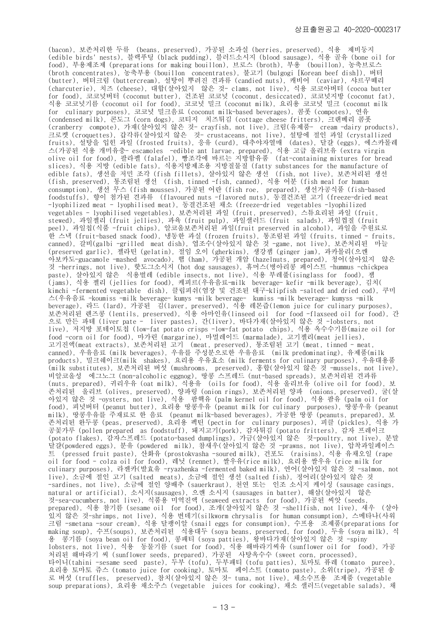(bacon), 보존처리한 두류 (beans, preserved), 가공된 소과실 (berries, preserved), 식용 제비둥지 (edible birds' nests), 블랙푸딩 (black pudding), 블러드소시지 (blood sausage), 식용 골유 (bone oil for food), 부용제조제 (preparations for making bouillon), 브로스 (broth), 부용 (bouillon), 농축브로스 (broth concentrates), 농축부용 (bouillon concentrates), 불고기 (bulgogi [Korean beef dish]), 버터 (butter), 버터크림 (buttercream), 설탕이 뿌려진 견과류 (candied nuts), 캐비어 (caviar), 샤르꾸떼리 (charcuterie), 치즈 (cheese), 대합(살아있지 않은 것- clams, not live), 식용 코코아버터 (cocoa butter for food), 코코넛버터 (coconut butter), 건조된 코코넛 (coconut, desiccated), 코코넛지방 (coconut fat), 식용 코코넛기름 (coconut oil for food), 코코넛 밀크 (coconut milk), 요리용 코코넛 밀크 (coconut milk for culinary purposes), 코코넛 밀크음료 (coconut milk-based beverages), 콤폿 (compotes), 연유 (condensed milk), 콘도그 (corn dogs), 코티지 치즈튀김 (cottage cheese fritters), 크랜베리 콤폿 (cranberry compote), 가재(살아있지 않은 것- crayfish, not live), 크림(유제품- cream -dairy products), 크로켓 (croquettes), 갑각류(살아있지 않은 것- crustaceans, not live), 설탕에 절인 과일 (crystallized fruits), 설탕을 입힌 과일 (frosted fruits), 응유 (curd), 대추야자열매 (dates), 달걀 (eggs), 에스카몰레 스(가공된 식용 개미유충- escamoles -edible ant larvae, prepared), 식용 고급 올리브유 (extra virgin olive oil for food), 팔라펠 (falafel), 빵조각에 바르는 지방함유품 (fat-containing mixtures for bread slices), 식용 지방 (edible fats), 식용지방제조용 지방질물질 (fatty substances for the manufacture of edible fats), 생선을 저민 조각 (fish fillets), 살아있지 않은 생선 (fish, not live), 보존처리된 생선 (fish, preserved), 통조림된 생선 (fish, tinned -fish, canned), 식용 어분 (fish meal for human consumption), 생선 무스 (fish mousses), 가공된 어란 (fish roe, prepared), 생선가공식품 (fish-based foodstuffs), 향이 첨가된 견과류 (flavoured nuts -flavored nuts), 동결건조된 고기 (freeze-dried meat -lyophilized meat - lyophilised meat), 동결건조된 채소 (freeze-dried vegetables -lyophilized vegetables - lyophilised vegetables), 보존처리된 과일 (fruit, preserved), 스튜요리된 과일 (fruit, stewed), 과일젤리 (fruit jellies), 과육 (fruit pulp), 과일샐러드 (fruit salads), 과일껍질 (fruit peel), 과일칩(식품 -fruit chips), 알코올보존처리된 과일(fruit preserved in alcohol), 과일을 주원료로 한 스낵 (fruit-based snack food), 냉동한 과실 (frozen fruits), 통조림된 과일 (fruits, tinned - fruits, canned), 갈비(galbi -grilled meat dish), 엽조수(살아있지 않은 것 -game, not live), 보존처리된 마늘 (preserved garlic), 젤라틴 (gelatin), 절임 오이 (gherkins), 생강잼 (ginger jam), 과카몰리(으깬 아보카도-guacamole -mashed avocado), 햄 (ham), 가공된 개암 (hazelnuts, prepared), 청어(살아있지 않은 것 -herrings, not live), 핫도그소시지 (hot dog sausages), 휴머스(병아리콩 페이스트 -hummus -chickpea paste), 살아있지 않은 식용벌레 (edible insects, not live), 식용 부레풀(isinglass for food), 잼 (jams), 식용 젤리 (jellies for food), 케피르(우유음료-milk beverage- kefir -milk beverage), 김치( kimchi -fermented vegetable dish), 클립피쉬(염장 및 건조된 대구-klipfish -salted and dried cod), 쿠미 스(우유음료 -koumiss -milk beverage- kumys -milk beverage- kumiss -milk beverage- kumyss -milk beverage), 라드 (lard), 가공된 김(laver, preserved), 식용 레몬즙(lemon juice for culinary purposes), 보존처리된 렌즈콩 (lentils, preserved), 식용 아마인유(linseed oil for food -flaxseed oil for food), 간 으로 만든 파테 (liver pate - liver pastes), 간(liver), 바다가재(살아있지 않은 것 -lobsters, not live), 저지방 포테이토칩 (low-fat potato crisps -low-fat potato chips), 식용 옥수수기름(maize oil for food -corn oil for food), 마가린 (margarine), 마멀레이드 (marmalade), 고기젤리(meat jellies), 고기진액(meat extracts), 보존처리된 고기 (meat, preserved), 통조림된 고기 (meat, tinned - meat, canned), 우유음료 (milk beverages), 우유를 주성분으로한 우유음료 (milk predominating), 유제품(milk products), 밀크쉐이크(milk shakes), 요리용 우유효소 (milk ferments for culinary purposes), 우유대용품 (milk substitutes), 보존처리된 버섯 (mushrooms, preserved), 홍합(살아있지 않은 것 -mussels, not live), 비알코올성 에그노그 (non-alcoholic eggnog), 땅콩 스프레드 (nut-based spreads), 보존처리된 견과류 (nuts, prepared), 귀리우유 (oat milk), 식용유 (oils for food), 식용 올리브유 (olive oil for food), 보 존처리된 올리브 (olives, preserved), 양파링 (onion rings), 보존처리된 양파 (onions, preserved), 굴(살 아있지 않은 것 -oysters, not live), 식용 팜핵유 (palm kernel oil for food), 식용 팜유 (palm oil for food), 피넛버터 (peanut butter), 요리용 땅콩우유 (peanut milk for culinary purposes), 땅콩우유 (peanut milk), 땅콩우유를 주재료로 한 음료 (peanut milk-based beverages), 가공한 땅콩 (peanuts, prepared), 보 존처리된 완두콩 (peas, preserved), 요리용 펙틴 (pectin for culinary purposes), 피클 (pickles), 식용 가 공꽃가루 (pollen prepared as foodstuff), 돼지고기(pork), 감자튀김 (potato fritters), 감자 프레이크 (potato flakes), 감자스프레드 (potato-based dumplings), 가금(살아있지 않은 것-poultry, not live), 분말 달걀(powdered eggs), 분유 (powdered milk), 참새우(살아있지 않은 것 -prawns, not live), 압착과일페이스 트 (pressed fruit paste), 산화유 (prostokvasha -soured milk), 건포도 (raisins), 식용 유채오일 (rape oil for food - colza oil for food), 레닛 (rennet), 쌀우유(rice milk), 요리용 쌀우유 (rice milk for culinary purposes), 라젠카(발효유 -ryazhenka -fermented baked milk), 연어(살아있지 않은 것 -salmon, not live), 소금에 절인 고기 (salted meats), 소금에 절인 생선 (salted fish), 정어리(살아있지 않은 것 -sardines, not live), 소금에 절인 양배추 (sauerkraut), 천연 또는 인조 소시지 케이싱 (sausage casings, natural or artificial), 소시지(sausages), 으깬 소시지 (sausages in batter), 해삼(살아있지 않은 것-sea-cucumbers, not live), 식품용 미역진액 (seaweed extracts for food), 가공된 씨앗 (seeds, prepared), 식용 참기름 (sesame oil for food), 조개(살아있지 않은 것 -shellfish, not live), 새우 (살아 있지 않은 것-shrimps, not live), 식용 번데기(silkworm chrysalis for human consumption), 스메타나(사워 크림 -smetana -sour cream), 식용 달팽이알 (snail eggs for consumption), 수프용 조제품(preparations for making soup), 수프(soups), 보존처리된 식용대두 (soya beans, preserved, for food), 두유 (soya milk), 식 용 콩기름 (soya bean oil for food), 콩패티 (soya patties), 왕바다가재(살아있지 않은 것 -spiny lobsters, not live), 식용 동물기름 (suet for food), 식용 해바라기씨유 (sunflower oil for food), 가공 처리된 해바라기 씨 (sunflower seeds, prepared), 가공된 사탕옥수수 (sweet corn, processed), 타이니(tahini -sesame seed paste), 두부 (tofu), 두부패티 (tofu patties), 토마토 퓨레 (tomato puree), 요리용 토마토 쥬스 (tomato juice for cooking), 토마토 페이스트 (tomato paste), 소위(tripe), 가공된 송 로 버섯 (truffles, preserved), 참치(살아있지 않은 것- tuna, not live), 채소수프용 조제품 (vegetable soup preparations), 요리용 채소주스 (vegetable juices for cooking), 채소 샐러드(vegetable salads), 채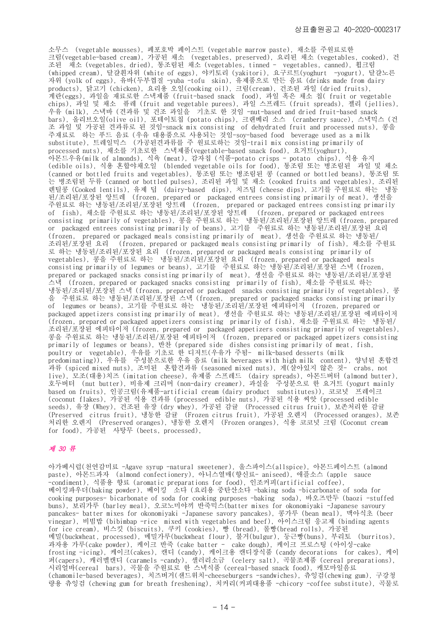소무스 (vegetable mousses), 페포호박 페이스트 (vegetable marrow paste), 채소를 주원료로한 크림(vegetable-based cream), 가공된 채소 (vegetables, preserved), 요리된 채소 (vegetables, cooked), 건 조된 채소 (vegetables, dried), 통조림된 채소 (vegetables, tinned - vegetables, canned), 휩크림 (whipped cream), 달걀흰자위 (white of eggs), 야키토리 (yakitori), 요구르트(yoghurt -yogurt), 달걀노른 자위 (yolk of eggs), 유바(두부껍질 -yuba -tofu skin), 유제품으로 만든 음료 (drinks made from dairy products), 닭고기 (chicken), 요리용 오일(cooking oil), 크림(cream), 건조된 과일 (dried fruits), 계란(eggs), 과일을 재료로한 스낵제품 (fruit-based snack food), 과일 혹은 채소 칩( fruit or vegetable chips), 과일 및 채소 퓨레 (fruit and vegetable purees), 과일 스프레드 (fruit spreads), 젤리 (jellies), 우유 (milk), 스낵바 (견과류 및 건조 과일을 기초로 한 것임 -nut-based and dried fruit-based snack bars), 올리브오일(olive oil), 포테이토칩 (potato chips), 크랜베리 소스 (cranberry sauce), 스낵믹스 (건 조 과일 및 가공된 견과류로 된 것임-snack mix consisting of dehydrated fruit and processed nuts), 콩을 주재료로 하는 푸드 음료 (우유 대용품으로 사용되는 것임-soy-based food beverage used as a milk substitute), 트레일믹스 (가공된견과류를 주 원료로하는 것임-trail mix consisting primarily of processed nuts), 채소를 기초로한 스낵제품(vegetable-based snack food), 요거트(yoghurt), 아몬드우유(milk of almonds), 식육 (meat), 감자칩 (식품-potato crisps - potato chips), 식용 유지 (edible oils), 식용 혼합야채오일 (blended vegetable oils for food), 통조림 또는 병조림된 과일 및 채소 (canned or bottled fruits and vegetables), 통조림 또는 병조림된 콩 (canned or bottled beans), 통조림 또 는 병조림된 두류 (canned or bottled pulses), 조리된 과일 및 채소 (cooked fruits and vegetables), 조리된 렌틸콩 (Cooked lentils), 유제 딥 (dairy-based dips), 치즈딥 (cheese dips), 고기를 주원료로 하는 냉동 된/조리된/포장된 앙트레 (frozen, prepared or packaged entrees consisting primarily of meat), 생선을 주원료로 하는 냉동된/조리된/포장된 앙트레 (frozen, prepared or packaged entrees consisting primarily of fish), 채소를 주원료로 하는 냉동된/조리된/포장된 앙트레 (frozen, prepared or packaged entrees consisting primarily of vegetables), 콩을 주원료로 하는 냉동된/조리된/포장된 앙트레 (frozen, prepared or packaged entrees consisting primarily of beans), 고기를 주원료로 하는 냉동된/조리된/포장된 요리 (frozen, prepared or packaged meals consisting primarily of meat), 생선을 주원료로 하는 냉동된/ 조리된/포장된 요리 (frozen, prepared or packaged meals consisting primarily of fish), 채소를 주원료 로 하는 냉동된/조리된/포장된 요리 (frozen, prepared or packaged meals consisting primarily of vegetables), 콩을 주원료로 하는 냉동된/조리된/포장된 요리 (frozen, prepared or packaged meals consisting primarily of legumes or beans), 고기를 주원료로 하는 냉동된/조리된/포장된 스낵 (frozen, prepared or packaged snacks consisting primarily of meat), 생선을 주원료로 하는 냉동된/조리된/포장된 스낵 (frozen, prepared or packaged snacks consisting primarily of fish), 채소를 주원료로 하는 냉동된/조리된/포장된 스낵 (frozen, prepared or packaged snacks consisting primarily of vegetables), 콩 을 주원료로 하는 냉동된/조리된/포장된 스낵 (frozen, prepared or packaged snacks consisting primarily of legumes or beans), 고기를 주원료로 하는 냉동된/조리된/포장된 에피타이저 (frozen, prepared or packaged appetizers consisting primarily of meat), 생선을 주원료로 하는 냉동된/조리된/포장된 에피타이저 (frozen, prepared or packaged appetizers consisting primarily of fish), 채소를 주원료로 하는 냉동된/ 조리된/포장된 에피타이저 (frozen, prepared or packaged appetizers consisting primarily of vegetables), 콩을 주원료로 하는 냉동된/조리된/포장된 에피타이저 (frozen, prepared or packaged appetizers consisting primarily of legumes or beans), 반찬 (prepared side dishes consisting primarily of meat, fish, poultry or vegetable), 우유를 기초로 한 디저트(우유가 주됨- milk-based desserts (milk predominating)), 우유를 주성분으로한 우유 음료 (milk beverages with high milk content), 양념된 혼합견 과류 (spiced mixed nuts), 조미된 혼합견과류 (seasoned mixed nuts), 게(살아있지 않은 것- crabs, not live), 모조(대용)치즈 (imitation cheese), 유제품 스프레드 (dairy spreads), 아몬드버터 (almond butter), 호두버터 (nut butter), 비유제 크리머 (non-dairy creamer), 과실을 주성분으로 한 요거트 (yogurt mainly based on fruits), 인공크림(유제품-artificial cream (dairy product substitutes)), 코코넛 프레이크 (coconut flakes), 가공된 식용 견과류 (processed edible nuts), 가공된 식용 씨앗 (processed edible seeds), 유장 (Whey), 건조된 유장 (dry whey), 가공된 감귤 (Processed citrus fruit), 보존처리한 감귤 (Preserved citrus fruit), 냉동한 감귤 (Frozen citrus fruit), 가공된 오렌지 (Processed oranges), 보존 처리한 오렌지 (Preserved oranges), 냉동한 오렌지 (Frozen oranges), 식용 코코넛 크림 (Coconut cream for food), 가공된 사탕무 (beets, processed),

# 제 30 류

아가베시럽(천연감미료 -Agave syrup -natural sweetener), 올스파이스(allspice), 아몬드페이스트 (almond paste), 아몬드과자 (almond confectionery), 아니스열매(향신료- aniseed), 애플소스 (apple sauce -condiment), 식품용 향료 (aromatic preparations for food), 인조커피(artificial coffee), 베이킹파우더(baking powder), 베이킹 소다 (요리용 중탄산소다 -baking soda -bicarbonate of soda for cooking purposes- bicarbonate of soda for cooking purposes -baking soda), 바오즈만두 (baozi -stuffed buns), 보리가루 (barley meal), 오코노미야끼 반죽믹스(batter mixes for okonomiyaki -Japanese savoury pancakes- batter mixes for okonomiyaki -Japanese savory pancakes), 콩가루 (bean meal), 맥아식초 (beer vinegar), 비빔밥 (bibimbap -rice mixed with vegetables and beef), 아이스크림 응고제 (binding agents for ice cream), 비스킷 (biscuits), 쿠키 (cookies), 빵 (bread), 롤빵(bread rolls), 가공된 메밀(buckwheat, processed), 메밀가루(buckwheat flour), 불거(bulgur), 둥근빵(buns), 부리토 (burritos), 과자용 가루(cake powder), 케이크 반죽 (cake batter - cake dough), 케이크 프로스팅 (아이싱-cake frosting -icing), 케이크(cakes), 캔디 (candy), 케이크용 캔디장식품 (candy decorations for cakes), 케이 퍼(capers), 캐러멜캔디 (caramels -candy), 샐러리소금 (celery salt), 곡물조제품 (cereal preparations), 시리얼바(cereal bars), 곡물을 주원료로 한 스낵식품 (cereal-based snack food), 캐모마일음료 (chamomile-based beverages), 치즈버거(샌드위치-cheeseburgers -sandwiches), 츄잉검(chewing gum), 구강청 량용 츄잉검 (chewing gum for breath freshening), 치커리(커피대용품 -chicory -coffee substitute), 곡물로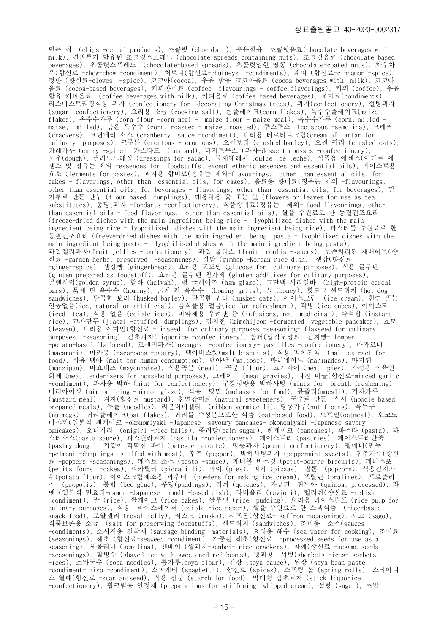만든 칩 (chips -cereal products), 초콜릿 (chocolate), 우유함유 초콜릿음료(chocolate beverages with milk), 견과류가 함유된 초콜릿스프레드 (chocolate spreads containing nuts), 초콜릿음료 (chocolate-based beverages), 초콜릿스프레드 (chocolate-based spreads), 초콜릿입힌 땅콩 (chocolate-coated nuts), 차우차 우(향신료 -chow-chow -condiment), 처트니(향신료-chutneys -condiments), 계피 (향신료-cinnamon -spice), 정향 (향신료-cloves -spice), 코코아(cocoa), 우유 함유 코코아음료 (cocoa beverages with milk), 코코아 음료 (cocoa-based beverages), 커피향미료 (coffee flavourings - coffee flavorings), 커피 (coffee), 우유 함유 커피음료 (coffee beverages with milk), 커피음료 (coffee-based beverages), 조미료(condiments), 크 리스마스트리장식용 과자 (confectionery for decorating Christmas trees), 과자(confectionery), 설탕과자 (sugar confectionery), 요리용 소금 (cooking salt), 콘플레이크(corn flakes), 옥수수플레이크(maize flakes), 옥수수가루 (corn flour -corn meal - maize flour - maize meal), 옥수수가루 (corn, milled maize, milled), 볶은 옥수수 (corn, roasted - maize, roasted), 쿠스쿠스 (couscous -semolina), 크래커 (crackers), 크랜베리 소스 (cranberry sauce -condiment), 요리용 타르타르크림(cream of tartar for culinary purposes), 크루톤 (croutons - croutons), 으깬보리 (crushed barley), 으깬 귀리 (crushed oats), 카레가루 (curry -spice), 카스타드 (custard), 디저트무스 (과자-dessert mousses -confectionery), 도우(dough), 샐러드드레싱 (dressings for salad), 둘세데레체 (dulce de leche), 식품용 에센스(에테르 에 센스 및 정유는 제외 -essences for foodstuffs, except etheric essences and essential oils), 페이스트용 효소 (ferments for pastes), 과자용 향미료(정유는 제외-flavourings, other than essential oils, for cakes - flavorings, other than essential oils, for cakes), 음료용 향미료(정유는 제외 -flavourings, other than essential oils, for beverages - flavorings, other than essential oils, for beverages), 밀 가루로 만든 만두 (flour-based dumplings), 대용차용 꽃 또는 잎 (flowers or leaves for use as tea substitutes), 퐁당(과자 -fondants -confectionery), 식품향미료(정유는 제외- food flavourings, other than essential oils - food flavorings, other than essential oils), 쌀을 주원료로 한 동결건조요리 (freeze-dried dishes with the main ingredient being rice - lyophilized dishes with the main ingredient being rice - lyophilised dishes with the main ingredient being rice), 파스타를 주원료로 한 동결건조요리 (freeze-dried dishes with the main ingredient being pasta - lyophilized dishes with the main ingredient being pasta  $-$  lyophilised dishes with the main ingredient being pasta). 과일젤리과자(fruit jellies -confectionery), 과일 쿨리스 (fruit coulis -sauces), 보존처리된 재배허브(향 신료 -garden herbs, preserved -seasonings), 김밥 (gimbap -Korean rice dish), 생강(향신료 -ginger-spice), 생강빵 (gingerbread), 요리용 포도당 (glucose for culinary purposes), 식용 글루텐 (gluten prepared as foodstuff), 요리용 글루텐 첨가제 (gluten additives for culinary purposes), 골덴시럽(golden syrup), 할바 (halvah), 햄 글레이즈 (ham glaze), 고단백 시리얼바 (high-protein cereal bars), 묽게 탄 옥수수 (hominy), 굵게 간 옥수수 (hominy grits), 꿀 (honey), 핫도그 샌드위치 (hot dog sandwiches), 탈곡한 보리 (husked barley), 탈곡한 귀리 (husked oats), 아이스크림 (ice cream), 천연 또는 인공얼음(ice, natural or artificial), 음식물용 얼음(ice for refreshment), 각빙 (ice cubes), 아이스티 (iced tea), 식용 얼음 (edible ices), 비약제용 우려낸 즙 (infusions, not medicinal), 즉석밥 (instant rice), 교자만두 (jiaozi -stuffed dumplings), 김치전 (kimchijeon -fermented vegetable pancakes), 효모 (leaven), 요리용 아마인(향신료 -linseed for culinary purposes -seasoning- flaxseed for culinary purposes -seasoning), 감초과자(liquorice -confectionery), 롬퍼(납작모양의 감자빵- lomper -potato-based flatbread), 로젠지과자(lozenges -confectionery- pastilles -confectionery), 마카로니 (macaroni), 마카롱 (macaroons -pastry), 맥아비스킷(malt biscuits), 식용 맥아진액 (malt extract for food), 식용 맥아 (malt for human consumption), 맥아당 (maltose), 마리네이드 (marinades), 마지팬 (marzipan), 마요네즈 (mayonnaise), 식용곡분 (meal), 곡분 (flour), 고기파이 (meat pies), 가정용 식육연 화제 (meat tenderizers for household purposes), 그레이비 (meat gravies), 다진 마늘(향신료-minced garlic -condiment), 과자용 박하 (mint for confectionery), 구강청량용 박하사탕 (mints for breath freshening), 미러아이싱 (mirror icing -mirror glaze), 식용 당밀 (molasses for food), 뮤즐리(muesli), 겨자가루 (mustard meal), 겨자(향신료-mustard), 천연감미료 (natural sweeteners), 국수로 만든 식사 (noodle-based prepared meals), 누들 (noodles), 리본버미첼리 (ribbon vermicelli), 땅콩가루(nut flours), 육두구 (nutmegs), 귀리플레이크(oat flakes), 귀리를 주성분으로한 식품 (oat-based food), 오트밀(oatmeal), 오코노 미야끼(일본식 팬케이크 -okonomiyaki -Japanese savoury pancakes- okonomiyaki -Japanese savory pancakes), 오니기리 (onigiri -rice balls), 종려당(palm sugar), 팬케이크 (pancakes), 파스타 (pasta), 파 스타소스(pasta sauce), 파스틸라과자 (pastila -confectionery), 페이스트리 (pastries), 페이스트리반죽 (pastry dough), 껍질이 딱딱한 파이 (pates en croute), 땅콩과자 (peanut confectionery), 펠메니(만두 -pelmeni -dumplings stuffed with meat), 후추 (pepper), 박하사탕과자 (peppermint sweets), 후추가루(향신 료 -peppers -seasonings), 페스토 소스 (pesto -sauce), 페티볼 비스킷 (petit-beurre biscuits), 페티스포 (petits fours -cakes), 피카릴리 (piccalilli), 파이 (pies), 피자 (pizzas), 팝콘 (popcorn), 식용감자가 루(potato flour), 아이스크림제조용 파우더 (powders for making ice cream), 프랄린 (pralines), 프로폴리 스 (propolis), 봉랍 (bee glue), 푸딩(puddings), 키쉬 (quiches), 가공된 퀴노아 (quinoa, processed), 라 멘 (일본식 면요리-ramen -Japanese noodle-based dish), 라비올리 (ravioli), 렐리쉬(향신료 -relish -condiment), 쌀 (rice), 쌀케이크 (rice cakes), 쌀푸딩 (rice pudding), 요리용 라이스펄프 (rice pulp for culinary purposes), 식용 라이스페이퍼 (edible rice paper), 쌀을 주원료로 한 스낵식품 (rice-based snack food), 로얄젤리 (royal jelly), 러스크 (rusks), 사프론(향신료- saffron -seasoning), 사고 (sago), 식품보존용 소금 (salt for preserving foodstuffs), 샌드위치 (sandwiches), 조미용 소스(sauces -condiments), 소시지용 결착제 (sausage binding materials), 요리용 해수 (sea water for cooking), 조미료 (seasonings), 해초 (향신료-seaweed -condiment), 가공된 해초(향신료 -processed seeds for use as a seasoning), 세몰리나 (semolina), 센베이 (쌀과자-senbei- rice crackers), 참깨(향신료 -sesame seeds -seasonings), 팥빙수 (shaved ice with sweetened red beans), 빙과용 셔벗(sherbets -ices- sorbets -ices), 소바국수 (soba noodles), 콩가루(soya flour), 간장 (soya sauce), 된장 (soya bean paste -condiment- miso -condiment), 스파게티 (spaghetti), 향신료 (spices), 스프링 롤 (spring rolls), 스타아니 스 열매(향신료 -star aniseed), 식용 전분 (starch for food), 막대형 감초과자 (stick liquorice -confectionery), 휩크림용 안정제 (preparations for stiffening whipped cream), 설탕 (sugar), 초밥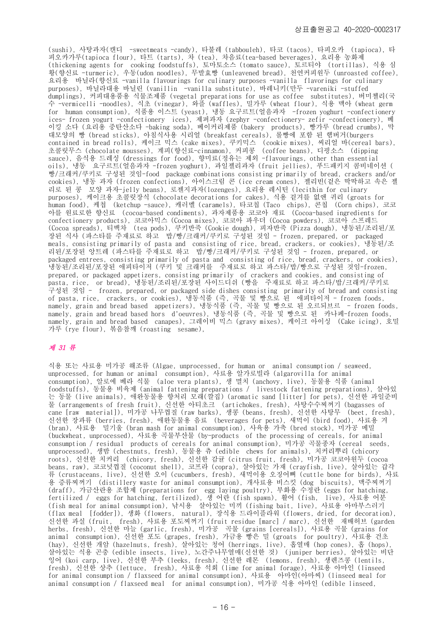(sushi), 사탕과자(캔디 -sweetmeats -candy), 타불레 (tabbouleh), 타코 (tacos), 타피오카 (tapioca), 타 피오카가루(tapioca flour), 타트 (tarts), 차 (tea), 차음료(tea-based beverages), 요리용 농화제 (thickening agents for cooking foodstuffs), 토마토소스 (tomato sauce), 토르티야 (tortillas), 식용 심 황(향신료 -turmeric), 우동(udon noodles), 무발효빵 (unleavened bread), 천연커피원두 (unroasted coffee), 요리용 바닐라(향신료 -vanilla flavourings for culinary purposes -vanilla flavorings for culinary purposes), 바닐라대용 바닐린 (vanillin -vanilla substitute), 바레니키(만두 -vareniki -stuffed dumplings), 커피대용품용 식물조제품 (vegetal preparations for use as coffee substitutes), 버미첼리(국 수 -vermicelli -noodles), 식초 (vinegar), 와플 (waffles), 밀가루 (wheat flour), 식용 맥아 (wheat germ for human consumption), 식품용 이스트 (yeast), 냉동 요구르트(얼음과자 -frozen yoghurt -confectionery ices- frozen yogurt -confectionery ices), 제퍼과자 (zephyr -confectionery- zefir -confectionery), 베 이킹 소다 (요리용 중탄산소다 -baking soda), 베이커리제품 (bakery products), 빵가루 (bread crumbs), 막 대모양의 빵 (bread sticks), 아침식사용 시리얼 (breakfast cereals), 롤빵에 포함 된 햄버거(burgers contained in bread rolls), 케이크 믹스 (cake mixes), 쿠키믹스 (cookie mixes), 씨리얼 바(cereal bars), 초콜릿무스 (chocolate mousses), 계피(향신료-cinnamon), 커피콩 (coffee beans), 디핑소스 (dipping sauce), 음식용 드레싱 (dressings for food), 향미료(정유는 제외 -flavourings, other than essential oils), 냉동 요구르트(얼음과자 -frozen yoghurt), 과일젤리과자 (fruit jellies), 푸드패키지 콤비네이션 ( 빵/크래커/쿠키로 구성된 것임-food package combinations consisting primarily of bread, crackers and/or cookies), 냉동 과자 (frozen confections), 아이스크림 콘 (ice cream cones), 젤리빈(겉은 딱딱하고 속은 젤 리로 된 콩 모양 과자-jelly beans), 로젠지과자(lozenges), 요리용 레시틴 (lecithin for culinary purposes), 케이크용 초콜릿장식 (chocolate decorations for cakes), 식용 겉겨를 없앤 귀리 (groats for human food), 케첩 (ketchup -sauce), 캐러멜 (caramels), 타코칩 (Taco chips), 콘칩 (Corn chips), 코코 아를 원료로한 향신료 (cocoa-based condiments), 과자제품용 코코아 재료 (Cocoa-based ingredients for confectionery products), 코코아믹스 (Cocoa mixes), 코코아 파우더 (Cocoa powders), 코코아 스프레드 (Cocoa spreads), 티백차 (tea pods), 쿠키반죽 (Cookie dough), 피자반죽 (Pizza dough), 냉동된/조리된/포 장된 식사 (파스타를 주재료로 하고 밥/빵/크래커/쿠키로 구성된 것임 - frozen, prepared, or packaged meals, consisting primarily of pasta and consisting of rice, bread, crackers, or cookies), 냉동된/조 리된/포장된 앙트레 (파스타를 주재료로 하고 밥/빵/크래커/쿠키로 구성된 것임 - frozen, prepared, or packaged entrees, consisting primarily of pasta and consisting of rice, bread, crackers, or cookies), 냉동된/조리된/포장된 애피타이저 (쿠키 및 크래커를 주재료로 하고 파스타/밥/빵으로 구성된 것임-frozen, prepared, or packaged appetizers, consisting primarily of crackers and cookies, and consisting of pasta, rice, or bread), 냉동된/조리된/포장된 사이드디쉬 (빵을 주재료로 하고 파스타/밥/크래커/쿠키로 구성된 것임 - frozen, prepared, or packaged side dishes consisting primarily of bread and consisting of pasta, rice, crackers, or cookies), 냉동식품 (즉, 곡물 및 빵으로 된 애피타이저 - frozen foods, namely, grain and bread based appetizers), 냉동식품 (즉, 곡물 및 빵으로 된 오르되브르 - frozen foods, namely, grain and bread based hors d'oeuvres), 냉동식품 (즉, 곡물 및 빵으로 된 카나페-frozen foods, namely, grain and bread based canapes), 그레이비 믹스 (gravy mixes), 케이크 아이싱 (Cake icing), 호밀 가루 (rye flour), 볶음참깨 (roasting sesame),

### 제 31 류

식용 또는 사료용 미가공 해조류 (Algae, unprocessed, for human or animal consumption / seaweed, unprocessed, for human or animal consumption), 사료용 알가로빌라 (algarovilla for animal consumption), 알로에 베라 식물 (aloe vera plants), 생 멸치 (anchovy, live), 동물용 식품 (animal foodstuffs), 동물용 비육제 (animal fattening preparations / livestock fattening preparations), 살아있 는 동물 (live animals), 애완동물용 향처리 모래(깔집) (aromatic sand [litter] for pets), 신선한 과일준비 물 (arrangements of fresh fruit), 신선한 아티초크 (artichokes, fresh), 사탕수수찌꺼기 (bagasses of cane [raw material]), 미가공 나무껍질 (raw barks), 생콩 (beans, fresh), 신선한 사탕무 (beet, fresh), 신선한 장과류 (berries, fresh), 애완동물용 음료 (beverages for pets), 새먹이 (bird food), 사료용 겨 (bran), 사료용 밀기울 (bran mash for animal consumption), 사육용 가축 (bred stock), 미가공 메밀 (buckwheat, unprocessed), 사료용 곡물부산물 (by-products of the processing of cereals, for animal consumption / residual products of cereals for animal consumption), 미가공 곡물종자 (cereal seeds, unprocessed), 생밤 (chestnuts, fresh), 동물용 츄 (edible chews for animals), 치커리뿌리 (chicory roots), 신선한 치커리 (chicory, fresh), 신선한 감귤 (citrus fruit, fresh), 미가공 코코아원두 (cocoa beans, raw), 코코넛껍질 (coconut shell), 코프라 (copra), 살아있는 가재 (crayfish, live), 살아있는 갑각 류 (crustaceans, live), 신선한 오이 (cucumbers, fresh), 새먹이용 오징어뼈 (cuttle bone for birds), 사료 용 증류찌꺼기 (distillery waste for animal consumption), 개사료용 비스킷 (dog biscuits), 맥주찌꺼기 (draff), 가금산란용 조합제 (preparations for egg laying poultry), 부화용 수정란 (eggs for hatching, fertilized / eggs for hatching, fertilized), 생 어란 (fish spawn), 활어 (fish, live), 사료용 어분 (fish meal for animal consumption), 낚시용 살아있는 미끼 (fishing bait, live), 사료용 아마부스러기 (flax meal [fodder]), 생화 (flowers, natural), 장식용 드라이플라워 (flowers, dried, for decoration), 신선한 과실 (fruit, fresh), 사료용 포도찌꺼기 (fruit residue [marc] / marc), 신선한 재배허브 (garden herbs, fresh), 신선한 마늘 (garlic, fresh), 미가공 곡물 (grains [cereals]), 사료용 곡물 (grains for animal consumption), 신선한 포도 (grapes, fresh), 가금용 빻은 밀 (groats for poultry), 사료용 건초 (hay), 신선한 개암 (hazelnuts, fresh), 살아있는 청어 (herrings, live), 홉열매 (hop cones), 홉 (hops), 살아있는 식용 곤충 (edible insects, live), 노간주나무열매(신선한 것) (juniper berries), 살아있는 비단 잉어 (koi carp, live), 신선한 부추 (leeks, fresh), 신선한 레몬 (lemons, fresh), 생렌즈콩 (lentils, fresh), 신선한 상추 (lettuce, fresh), 사료용 석회 (lime for animal forage), 사료용 아마인 (linseed for animal consumption / flaxseed for animal consumption), 사료용 아마인(아마씨) (linseed meal for animal consumption / flaxseed meal for animal consumption), 미가공 식용 아마인 (edible linseed,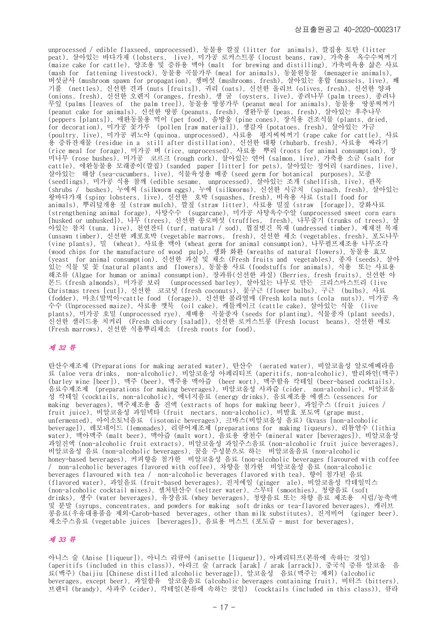unprocessed / edible flaxseed, unprocessed), 동물용 깔짚 (litter for animals), 깔집용 토탄 (litter peat), 살아있는 바다가재 (lobsters, live), 미가공 로커스트콩 (locust beans, raw), 가축용 옥수수찌꺼기 (maize cake for cattle), 양조용 및 증류용 맥아 (malt for brewing and distilling), 가축비육용 삶은 사료 (mash for fattening livestock), 동물용 곡물가루 (meal for animals), 동물원동물 (menagerie animals), 버섯균사 (mushroom spawn for propagation), 생버섯 (mushrooms, fresh), 살아있는 홍합 (mussels, live), 쐐 기풀 (nettles), 신선한 견과 (nuts [fruits]), 귀리 (oats), 신선한 올리브 (olives, fresh), 신선한 양파 (onions, fresh), 신선한 오렌지 (oranges, fresh), 생 굴 (oysters, live), 종려나무 (palm trees), 종려나 무잎 (palms [leaves of the palm tree]), 동물용 땅콩가루 (peanut meal for animals), 동물용 땅콩찌꺼기 (peanut cake for animals), 신선한 땅콩 (peanuts, fresh), 생완두콩 (peas, fresh), 살아있는 후추나무 (peppers [plants]), 애완동물용 먹이 (pet food), 솔방울 (pine cones), 장식용 건조식물 (plants, dried, for decoration), 미가공 꽃가루 (pollen [raw material]), 생감자 (potatoes, fresh), 살아있는 가금 (poultry, live), 미가공 퀴노아 (quinoa, unprocessed), 사료용 평지씨찌꺼기 (rape cake for cattle), 사료 용 증류잔재물 (residue in a still after distillation), 신선한 대황 (rhubarb, fresh), 사료용 싸라기 (rice meal for forage), 미가공 벼 (rice, unprocessed), 사료용 뿌리 (roots for animal consumption), 장 미나무 (rose bushes), 미가공 코르크 (rough cork), 살아있는 연어 (salmon, live), 가축용 소금 (salt for cattle), 애완동물용 모래종이(깔집) (sanded paper [litter] for pets), 살아있는 정어리 (sardines, live), 살아있는 해삼 (sea-cucumbers, live), 식물육성용 배종 (seed germ for botanical purposes), 모종 (seedlings), 미가공 식용 참깨 (edible sesame, unprocessed), 살아있는 조개 (shellfish, live), 관목 (shrubs / bushes), 누에씨 (silkworm eggs), 누에 (silkworms), 신선한 시금치 (spinach, fresh), 살아있는 왕바다가재 (spiny lobsters, live), 신선한 호박 (squashes, fresh), 비육용 사료 (stall food for animals), 뿌리덮개용 짚 (straw mulch), 깔짚 (straw litter), 사료용 밀짚 (straw [forage]), 강화사료 (strengthening animal forage), 사탕수수 (sugarcane), 미가공 사탕옥수수알 (unprocessed sweet corn ears [husked or unhusked]), 나무 (trees), 신선한 송로버섯 (truffles, fresh), 나무줄기 (trunks of trees), 살 아있는 참치 (tuna, live), 천연잔디 (turf, natural / sod), 껍질벗긴 목재 (undressed timber), 제재전 목재 (unsawn timber), 신선한 페포호박 (vegetable marrows, fresh), 신선한 채소 (vegetables, fresh), 포도나무 (vine plants), 밀 (wheat), 사료용 맥아 (wheat germ for animal consumption), 나무펄프제조용 나무조각 (wood chips for the manufacture of wood pulp), 생화 화환 (wreaths of natural flowers), 동물용 효모 (yeast for animal consumption), 신선한 과실 및 채소 (Fresh fruits and vegetables), 종자 (seeds), 살아 있는 식물 및 꽃 (natural plants and flowers), 동물용 사료 (foodstuffs for animals), 식용 또는 사료용 해조류 (Algae for human or animal consumption), 장과류(신선한 과실) (Berries, fresh fruits), 신선한 아 몬드 (fresh almonds), 미가공 보리 (unprocessed barley), 살아있는 나무로 만든 크리스마스트리 (live Christmas trees [cut]), 신선한 코코넛 (fresh coconuts), 꽃구근 (flower bulbs), 구근 (bulbs), 사료 (fodder), 마초(말먹이-cattle food (forage)), 신선한 콜라열매 (Fresh kola nuts (cola nuts)), 미가공 옥 수수 (Unprocessed maize), 사료용 깻묵 (oil cake), 캐틀케이크 (cattle cake), 살아있는 식물 (live plants), 미가공 호밀 (unprocessed rye), 재배용 곡물종자 (seeds for planting), 식물종자 (plant seeds), 신선한 샐러드용 치커리 (Fresh chicory [salad]), 신선한 로커스트콩 (Fresh locust beans), 신선한 매로 (Fresh marrows), 신선한 식용뿌리채소 (fresh roots for food),

### 제 32 류

탄산수제조제 (Preparations for making aerated water), 탄산수 (aerated water), 비알코올성 알로에베라음 료 (aloe vera drinks, non-alcoholic), 비알코올성 아페리티프 (aperitifs, non-alcoholic), 발리와인(맥주) (barley wine [beer]), 맥주 (beer), 맥주용 맥아즙 (beer wort), 맥주함유 칵테일 (beer-based cocktails), 음료수제조제 (preparations for making beverages), 비알코올성 사과즙 (cider, non-alcoholic), 비알코올 성 칵테일 (cocktails, non-alcoholic), 에너지음료 (energy drinks), 음료제조용 에센스 (essences for making beverages), 맥주제조용 홉 진액 (extracts of hops for making beer), 과일주스 (fruit juices / fruit juice), 비알코올성 과일넥타 (fruit nectars, non-alcoholic), 비발효 포도액 (grape must, unfermented), 아이소토닉음료 (isotonic beverages), 크바스(비알코올성 음료) (kvass [non-alcoholic beverage]), 레모네이드 (lemonades), 리큐어제조제 (preparations for making liqueurs), 리튬염수 (lithia water), 맥아맥주 (malt beer), 맥아즙 (malt wort), 음료용 광천수 (mineral water [beverages]), 비알코올성 과일진액 (non-alcoholic fruit extracts), 비알코올성 과일주스음료 (non-alcoholic fruit juice beverages), 비알코올성 음료 (non-alcoholic beverages), 꿀을 주성분으로 하는 비알코올음료 (non-alcoholic honey-based beverages), 커피향을 첨가한 비알코올성 음료 (non-alcoholic beverages flavoured with coffee / non-alcoholic beverages flavored with coffee), 차향을 첨가한 비알코올성 음료 (non-alcoholic beverages flavoured with tea / non-alcoholic beverages flavored with tea), 향이 첨가된 음료 (flavored water), 과일음료 (fruit-based beverages), 진저에일 (ginger ale), 비알코올성 칵테일믹스 (non-alcoholic cocktail mixes), 셀처탄산수 (seltzer water), 스무디 (smoothies), 청량음료 (soft drinks), 생수 (water beverages), 유장음료 (whey beverages), 청량음료 또는 차향 음료 제조용 시럽/농축액 및 분말 (syrups, concentrates, and powders for making soft drinks or tea-flavored beverages), 캐러브 콩음료(우유대용품을 제외-Carob-based beverages, other than milk substitutes), 진저비어 (ginger beer), 채소주스음료 (vegetable juices [beverages]), 음료용 머스트 (포도즙 - must for beverages),

### 제 33 류

아니스 술 (Anise [liqueur]), 아니스 리큐어 (anisette [liqueur]), 아페리티프(본류에 속하는 것임) (aperitifs (included in this class)), 아라크 술 (arrack [arak] / arak [arrack]), 중국식 증류 알코올 음 료(백주) (baijiu [Chinese distilled alcoholic beverage]), 알코올성 음료(맥주는 제외) (alcoholic beverages, except beer), 과일함유 알코올음료 (alcoholic beverages containing fruit), 비터즈 (bitters), 브랜디 (brandy), 사과주 (cider), 칵테일(본류에 속하는 것임) (cocktails (included in this class)), 큐라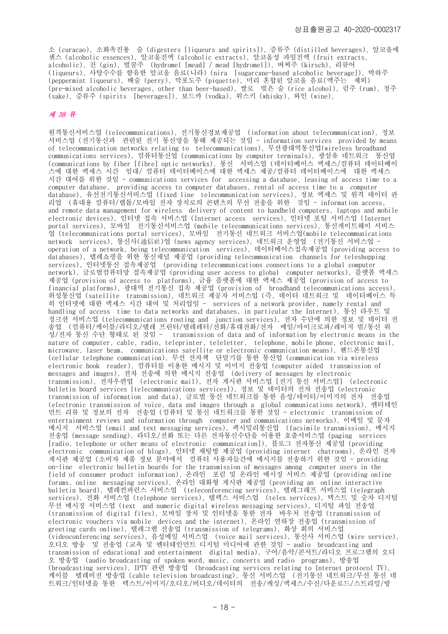소 (curacao), 소화촉진용 술 (digesters [liqueurs and spirits]), 증류주 (distilled beverages), 알코올에 센스 (alcoholic essences), 알코올진액 (alcoholic extracts), 알코올성 과일진액 (fruit extracts, alcoholic), 진 (gin), 벌꿀주 (hydromel [mead] / mead [hydromel]), 버찌주 (kirsch), 리큐어 (liqueurs), 사탕수수를 함유한 알코올 음료(니라) (nira [sugarcane-based alcoholic beverage]), 박하주 (peppermint liqueurs), 배술 (perry), 막포도주 (piquette), 미리 혼합된 알코올 음료(맥주는 제외) (pre-mixed alcoholic beverages, other than beer-based), 쌀로 빚은 술 (rice alcohol), 럼주 (rum), 청주 (sake), 증류주 (spirits [beverages]), 보드카 (vodka), 위스키 (whisky), 와인 (wine),

### 제 38 류

원격통신서비스업 (telecommunications), 전기통신정보제공업 (information about telecommunication), 정보 서비스업 (전기통신과 관련된 전기 통신망을 통해 제공되는 것임 - information services provided by means of telecommunication networks relating to telecommunications), 무선광대역통신업(wireless broadband communications services), 컴퓨터통신업 (communications by computer terminals), 광섬유 네트워크 통신업 (communications by fiber [fibre] optic networks), 통신 서비스업 (데이터베이스 액세스/컴퓨터 데이터베이 스에 대한 액세스 시간 임대/ 컴퓨터 데이터베이스에 대한 액세스 제공/컴퓨터 데이터베이스에 대한 액세스 시간 대여를 위한 것임 - communications services for accessing a database, leasing of access time to a computer database, providing access to computer databases, rental of access time to a computer database), 유선전기통신서비스업 (fixed line telecommunication services), 정보 액세스 및 원격 데이터 관 리업 (휴대용 컴퓨터/랩톱/모바일 전자 장치로의 콘텐츠의 무선 전송을 위한 것임 - information access, and remote data management for wireless delivery of content to handheld computers, laptops and mobile electronic devices), 인터넷 접속 서비스업 (Internet access services), 인터넷 포털 서비스업 (Internet portal services), 모바일 전기통신서비스업 (mobile telecommunications services), 통신게이트웨이 서비스 업 (telecommunications portal services), 모바일 전기통신 네트워크 서비스업(mobile telecommunications network services), 통신사(通信社)업 (news agency services), 네트워크 운영업 (전기통신 서비스업 operation of a network, being telecommunication services), 데이터베이스접속제공업 (providing access to databases), 텔레쇼핑을 위한 통신채널 제공업 (providing telecommunication channels for teleshopping services), 인터넷통신 접속제공업 (providing telecommunications connections to a global computer network), 글로벌컴퓨터망 접속제공업 (providing user access to global computer networks), 플랫폼 액세스 제공업 (provision of access to platforms), 금융 플랫폼에 대한 액세스 제공업 (provision of access to financial platforms), 광대역 전기통신 접속 제공업 (provision of broadband telecommunications access), 위성통신업 (satellite transmission), 네트워크 제공자 서비스업 (즉, 데이터 네트워크 및 데이터베이스 특 히 인터넷에 대한 액세스 시간 대여 및 처리업임 - services of a network provider, namely rental and handling of access time to data networks and databases, in particular the Internet), 통신 라우트 및 정크션 서비스업 (telecommunications routing and junction services), 전자 수단에 의한 정보 및 데이터 전 송업 (컴퓨터/케이블/라디오/텔레 프린터/텔레레터/전화/휴대전화/전자 메일/마이크로파/레이저 빔/통신 위 성/전자 통신 수단 형태로 된 것임 - transmission of data and of information by electronic means in the nature of computer, cable, radio, teleprinter, teleletter, telephone, mobile phone, electronic mail, microwave, laser beam, communications satellite or electronic communication means), 핸드폰통신업 (cellular telephone communication), 무선 전자책 단말기를 통한 통신업 (communication via wireless electronic book reader), 컴퓨터를 이용한 메시지 및 이미지 전송업 (computer aided transmission of messages and images), 전자 전송에 의한 메시지 전송업 (delivery of messages by electronic transmission), 전자우편업 (electronic mail), 전자 게시판 서비스업 [전기 통신 서비스업] (electronic bulletin board services [telecommunications services]), 정보 및 데이터의 전자 전송업 (electronic transmission of information and data), 글로벌 통신 네트워크를 통한 음성/데이터/이미지의 전자 전송업 (electronic transmission of voice, data and images through a global communications network), 엔터테인 먼트 리뷰 및 정보의 전자 전송업 (컴퓨터 및 통신 네트워크를 통한 것임 - electronic transmission of entertainment reviews and information through computer and communications networks), 이메일 및 문자 메시지 서비스업 (email and text messaging services), 팩시밀리통신업 (facsimile transmission), 메시지 전송업 (message sending), 라디오/전화 또는 다른 전자통신수단을 이용한 호출서비스업 (paging services [radio, telephone or other means of electronic communication]), 블로그 전자통신 제공업 (providing electronic communication of blogs), 인터넷 채팅방 제공업 (providing internet chatrooms), 온라인 전자 게시판 제공업 (소비자 제품 정보 분야에서 컴퓨터 사용자들간에 메시지를 전송하기 위한 것임 - providing on-line electronic bulletin boards for the transmission of messages among computer users in the field of consumer product information), 온라인 포럼 및 온라인 메시징 서비스 제공업 (providing online forums, online messaging services), 온라인 대화형 게시판 제공업 (providing an online interactive bulletin board), 텔레컨퍼런스 서비스업 (teleconferencing services), 텔레그래프 서비스업 (telegraph services), 전화 서비스업 (telephone services), 텔렉스 서비스업 (telex services), 텍스트 및 숫자 디지털 무선 메시징 서비스업 (text and numeric digital wireless messaging services), 디지털 파일 전송업 (transmission of digital files), 모바일 장치 및 인터넷을 통한 전자 바우처 전송업 (transmission of electronic vouchers via mobile devices and the internet), 온라인 연하장 전송업 (transmission of greeting cards online), 텔레그램 전송업 (transmission of telegrams), 화상 회의 서비스업 (videoconferencing services), 음성메일 서비스업 (voice mail services), 통신사 서비스업 (wire service), 오디오 방송 및 전송업 (교육 및 엔터테인먼트 디지털 미디어에 관한 것임 - audio broadcasting and transmission of educational and entertainment digital media), 구어/음악/콘서트/라디오 프로그램의 오디 오 방송업 (audio broadcasting of spoken word, music, concerts and radio programs), 방송업 (broadcasting services), IPTV 관련 방송업 (broadcasting services relating to Internet protocol TV), 케이블 텔레비전 방송업 (cable television broadcasting), 통신 서비스업 (전기통신 네트워크/무선 통신 네 트워크/인터넷을 통한 텍스트/이미지/오디오/비디오/데이터의 전송/캐싱/액세스/수신/다운로드/스트리밍/방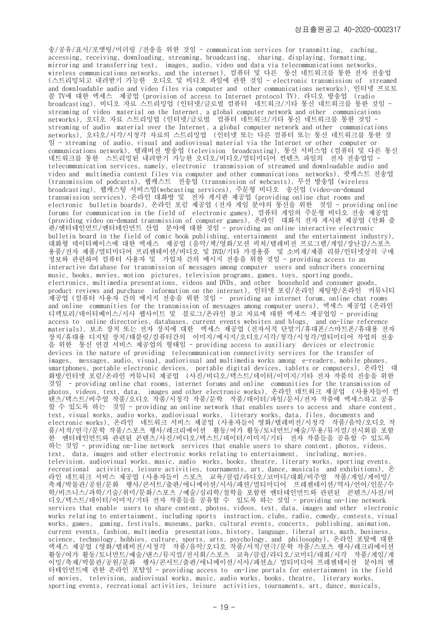송/공유/표시/포맷팅/미러링 /전송을 위한 것임 - communication services for transmitting, caching, accessing, receiving, downloading, streaming, broadcasting, sharing, displaying, formatting, mirroring and transferring text, images, audio, video and data via telecommunications networks, wireless communications networks, and the internet), 컴퓨터 및 다른 통신 네트워크를 통한 전자 전송업 (스트리밍되고 내려받기 가능한 오디오 및 비디오 파일에 관한 것임 - electronic transmission of streamed and downloadable audio and video files via computer and other communications networks), 인터넷 프로토 콜 TV에 대한 액세스 제공업 (provision of access to Internet protocol TV), 라디오 방송업 (radio broadcasting), 비디오 자료 스트리밍업 (인터넷/글로벌 컴퓨터 네트워크/기타 통신 네트워크를 통한 것임 streaming of video material on the Internet, a global computer network and other communications networks), 오디오 자료 스트리밍업 (인터넷/글로벌 점퓨터 네트워크/기타 통신 네트워크를 통한 것임 streaming of audio material over the Internet, a global computer network and other communications networks), 오디오/시각/시청각 자료의 스트리밍업 (인터넷 또는 다른 컴퓨터 또는 통신 네트워크를 통한 것 임 - streaming of audio, visual and audiovisual material via the Internet or other computer or communications network), 텔레비전 방송업 (television broadcasting), 통신 서비스업 (컴퓨터 및 다른 통신 네트워크를 통한 스트리밍된 내려받기 가능한 오디오/비디오/멀티미디어 컨텐츠 파일의 전자 전송업임 telecommunication services, namely, electronic transmission of streamed and downloadable audio and video and multimedia content files via computer and other communications networks), 팟캐스트 전송업 (transmission of podcasts), 웹캐스트 전송업 (transmission of webcasts), 무선 방송업 (wireless broadcasting), 웹캐스팅 서비스업(webcasting services), 주문형 비디오 송신업 (video-on-demand transmission services), 온라인 대화방 및 전자 게시판 제공업 (providing online chat rooms and electronic bulletin boards), 온라인 포럼 제공업 (전자 게임 분야의 통신을 위한 것임 - providing online forums for communication in the field of electronic games), 컴퓨터 게임의 주문형 비디오 전송 제공업 (providing video on-demand transmission of computer games), 온라인 대화식 전자 게시판 제공업 (만화 출 판/엔터테인먼트/엔터테인먼트 산업 분야에 대한 것임 - providing an online interactive electronic bulletin board in the field of comic book publishing, entertainment and the entertainment industry), 대화형 데이터베이스에 대한 액세스 제공업 (음악/책/영화/모션 픽쳐/텔레비전 프로그램/게임/장난감/스포츠 용품/전자 제품/멀티미디어 프리젠테이션/비디오 및 DVD/기타 가정용품 및 소비재/제품 리뷰/인터넷상의 구매 정보와 관련하여 컴퓨터 사용자 및 가입자 간의 메시지 전송을 위한 것임 - providing access to an interactive database for transmission of messages among computer users and subscribers concerning music, books, movies, motion pictures, television programs, games, toys, sporting goods, electronics, multimedia presentations, videos and DVDs, and other household and consumer goods, product reviews and purchase information on the internet), 인터넷 포럼/온라인 채팅방/온라인 커뮤니티 제공업 (컴퓨터 사용자 간의 메시지 전송을 위한 것임 - providing an internet forum, online chat rooms and online communities for the transmission of messages among computer users), 액세스 제공업 (온라인 디렉토리/데이터베이스/시사 웹사이트 및 블로그/온라인 참고 자료에 대한 액세스 제공업임 - providing access to online directories, databases, current events websites and blogs, and on-line reference materials), 보조 장치 또는 전자 장치에 대한 액세스 제공업 (전자서적 단말기/휴대폰/스마트폰/휴대용 전자 장치/휴대용 디지털 장치/태블릿/컴퓨터간의 이미지/메시지/오디오/시각/청각/시청각/멀티미디어 작업의 전송 을 위한 통신 연결 서비스 제공업의 형태임 - providing access to auxiliary devices or electronic devices in the nature of providing telecommunication connectivity services for the transfer of images, messages, audio, visual, audiovisual and multimedia works among e-readers, mobile phones, smartphones, portable electronic devices, portable digital devices, tablets or computers), 온라인 대 화방/인터넷 포럼/온라인 커뮤니티 제공업 (사진/비디오/텍스트/데이터/이미지/기타 전자 작품의 전송을 위한 것임 - providing online chat rooms, internet forums and online communities for the transmission of photos, videos, text, data, images and other electronic works), 온라인 네트워크 제공업 (사용자들이 컨 텐츠/텍스트/비주얼 작품/오디오 작품/시청각 작품/문학 작품/데이터/파일/문서/전자 작품에 액세스하고 공유 할 수 있도록 하는 것임 - providing an online network that enables users to access and share content, text, visual works, audio works, audiovisual works, literary works, data, files, documents and electronic works), 온라인 네트워크 서비스 제공업 (사용자들이 영화/텔레비전/시청각 작품/음악/오디오 작 품/서적/연극/문학 작품/스포츠 행사/레크리에이션 활동/여가 활동/토너먼트/예술/무용/뮤지컬/전시회를 포함 한 엔터테인먼트와 관련된 콘텐츠/사진/비디오/텍스트/데이터/이미지/기타 전자 작품들을 공유할 수 있도록 하는 것임 - providing on-line network services that enable users to share content, photos, videos, text, data, images and other electronic works relating to entertainment, including, movies, television, audiovisual works, music, audio works, books, theatre, literary works, sporting events, recreational activities, leisure activities, tournaments, art, dance, musicals and exhibitions), 온 라인 네트워크 서비스 제공업 (사용자들이 스포츠 교육/클럽/라디오/코미디/대회/비주얼 작품/게임/게이밍/ 축제/박물관/공원/문화 행사/콘서트/출판/애니메이션/시사/패션/멀티미디어 프레젠테이션/역사/언어/인문/수 학/비즈니스/과학/기술/취미/문화/스포츠 /예술/심리학/철학을 포함한 엔터테인먼트와 관련된 콘텐츠/사진/비 디오/텍스트/데이터/이미지/기타 전자 작품들을 공유할 수 있도록 하는 것임 - providing on-line network services that enable users to share content, photos, videos, text, data, images and other electronic works relating to entertainment, including sports instruction, clubs, radio, comedy, contests, visual works, games, gaming, festivals, museums, parks, cultural events, concerts, publishing, animation, current events, fashion, multimedia presentations, history, language, liberal arts, math, business, science, technology, hobbies, culture, sports, arts, psychology, and philosophy), 온라인 포탈에 대한 액세스 제공업 (영화/텔레비전/시청각 작품/음악/오디오 작품/서적/연극/문학 작품/스포츠 행사/레크리에이션 활동/여가 활동/토너먼트/예술/댄스/뮤지컬/전시회/스포츠 교육/클럽/라디오/코미디/대회/시각 작품/게임/게 이밍/축제/박물관/공원/문화 행사/콘서트/출판/애니메이션/시사/패션쇼/ 멀티미디어 프레젠테이션 분야의 엔 터테인먼트에 관한 온라인 포탈임 - providing access to on-line portals for entertainment in the field of movies, television, audiovisual works, music, audio works, books, theatre, literary works, sporting events, recreational activities, leisure activities, tournaments, art, dance, musicals,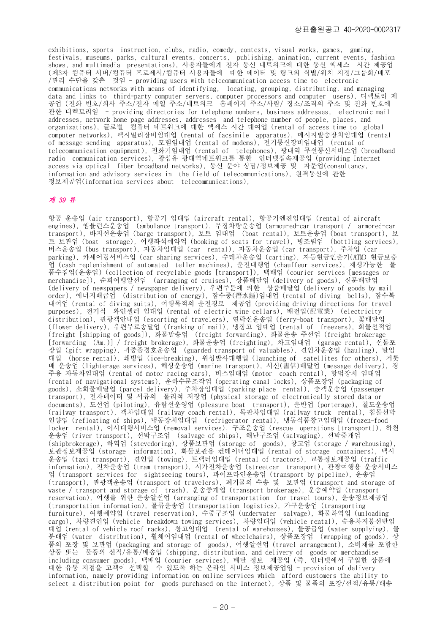exhibitions, sports instruction, clubs, radio, comedy, contests, visual works, games, gaming, festivals, museums, parks, cultural events, concerts, publishing, animation, current events, fashion shows, and multimedia presentations), 사용자들에게 전자 통신 네트워크에 대한 통신 액세스 시간 제공업 (제3자 컴퓨터 서버/컴퓨터 프로세서/컴퓨터 사용자들에 대한 데이터 및 링크의 식별/위치 지정/그룹화/배포 /관리 수단을 갖춘 것임 - providing users with telecommunication access time to electronic communications networks with means of identifying, locating, grouping, distributing, and managing data and links to third-party computer servers, computer processors and computer users), 디렉토리 제 공업 (전화 번호/회사 주소/전자 메일 주소/네트워크 홈페이지 주소/사람/ 장소/조직의 주소 및 전화 번호에 관한 디렉토리임 - providing directories for telephone numbers, business addresses, electronic mail addresses, network home page addresses, addresses and telephone number of people, places, and organizations), 글로벌 컴퓨터 네트워크에 대한 액세스 시간 대여업 (rental of access time to global computer networks), 팩시밀리장비임대업 (rental of facsimile apparatus), 메시지발송장치임대업 (rental of message sending apparatus), 모뎀임대업 (rental of modems), 전기통신장비임대업 (rental of telecommunication equipment), 전화기임대업 (rental of telephones), 광대역 무선통신서비스업 (broadband radio communication services), 광섬유 광대역네트워크를 통한 인터넷접속제공업 (providing Internet access via optical fiber broadband networks), 통신 분야 상담/정보제공 및 자문업(consultancy, information and advisory services in the field of telecommunications), 원격통신에 관한 정보제공업(information services about telecommunications),

### 제 39 류

항공 운송업 (air transport), 항공기 임대업 (aircraft rental), 항공기엔진임대업 (rental of aircraft engines), 앰뷸런스운송업 (ambulance transport), 무장차량운송업 (armoured-car transport / armored-car transport), 바지선운송업 (barge transport), 보트 임대업 (boat rental), 보트운송업 (boat transport), 보 트 보관업 (boat storage), 여행좌석예약업 (booking of seats for travel), 병조림업 (bottling services), 버스운송업 (bus transport), 자동차임대업 (car rental), 자동차운송업 (car transport), 주차업 (car parking), 카셰어링서비스업 (car sharing services), 수레차운송업 (carting), 자동현금인출기(ATM) 현금보충 업 (cash replenishment of automated teller machines), 운전대행업 (chauffeur services), 재생가능한 물 품수집업(운송업) (collection of recyclable goods [transport]), 택배업 (courier services [messages or merchandise]), 순회여행알선업 (arranging of cruises), 상품배달업 (delivery of goods), 신문배달업 (delivery of newspapers / newspaper delivery), 우편주문에 의한 상품배달업 (delivery of goods by mail order), 에너지배급업 (distribution of energy), 잠수종(潛水鍾)임대업 (rental of diving bells), 잠수복 대여업 (rental of diving suits), 여행목적의 운전경로 제공업 (providing driving directions for travel purposes), 전기식 와인셀러 임대업 (rental of electric wine cellars), 배전업(配電業) (electricity distribution), 관광객안내업 (escorting of travelers), 연락선운송업 (ferry-boat transport), 꽃배달업 (flower delivery), 우편무료송달업 (franking of mail), 냉장고 임대업 (rental of freezers), 화물선적업 (freight [shipping of goods]), 화물발송업 (freight forwarding), 화물운송 주선업 (freight brokerage [forwarding (Am.)] / freight brokerage), 화물운송업 (freighting), 차고임대업 (garage rental), 선물포 장업 (gift wrapping), 귀중품경호운송업 (guarded transport of valuables), 견인차운송업 (hauling), 말임 대업 (horse rental), 쇄빙업 (ice-breaking), 위성발사대행업 (launching of satellites for others), 거룻 배 운송업 (lighterage services), 해상운송업 (marine transport), 서신(書信)배달업 (message delivery), 경 주용 자동차임대업 (rental of motor racing cars), 버스임대업 (motor coach rental), 항법장치 임대업 (rental of navigational systems), 운하수문조작업 (operating canal locks), 상품포장업 (packaging of goods), 소화물배달업 (parcel delivery), 주차장임대업 (parking place rental), 승객운송업 (passenger transport), 전자데이터 및 서류의 물리적 저장업 (physical storage of electronically stored data or documents), 도선업 (piloting), 유람선운영업 (pleasure boat transport), 운반업 (porterage), 철도운송업 (railway transport), 객차임대업 (railway coach rental), 목판차임대업 (railway truck rental), 침몰선박 인양업 (refloating of ships), 냉동장치임대업 (refrigerator rental), 냉동식품창고임대업 (frozen-food locker rental), 이사대행서비스업 (removal services), 구조운송업 (rescue operations [transport]), 하천 운송업 (river transport), 선박구조업 (salvage of ships), 해난구조업 (salvaging), 선박중개업 (shipbrokerage), 하역업 (stevedoring), 상품보관업 (storage of goods), 창고업 (storage / warehousing), 보관정보제공업 (storage information), 화물보관용 컨테이너임대업 (rental of storage containers), 택시 운송업 (taxi transport), 견인업 (towing), 트랙터임대업 (rental of tractors), 교통정보제공업 (traffic information), 전차운송업 (tram transport), 시가전차운송업 (streetcar transport), 관광여행용 운송서비스 업 (transport services for sightseeing tours), 파이프라인운송업 (transport by pipeline), 운송업 (transport), 관광객운송업 (transport of travelers), 폐기물의 수송 및 보관업 (transport and storage of waste / transport and storage of trash), 운송중개업 (transport brokerage), 운송예약업 (transport reservation), 여행을 위한 운송알선업 (arranging of transportation for travel tours), 운송정보제공업 (transportation information), 물류운송업 (transportation logistics), 가구운송업 (transporting furniture), 여행예약업 (travel reservation), 수중구조업 (underwater salvage), 화물하역업 (unloading cargo), 차량견인업 (vehicle breakdown towing services), 차량임대업 (vehicle rental), 승용차지붕선반임 대업 (rental of vehicle roof racks), 창고임대업 (rental of warehouses), 물공급업 (water supplying), 물 분배업 (water distribution), 휠체어임대업 (rental of wheelchairs), 상품포장업 (wrapping of goods), 상 품의 포장 및 보관업 (packaging and storage of goods), 여행알선업 (travel arrangement), 소비재를 포함한 상품 또는 물품의 선적/유통/배송업 (shipping, distribution, and delivery of goods or merchandise including consumer goods), 택배업 (courier services), 배달 정보 제공업 (즉, 인터넷에서 구입한 상품에 대한 유통 지점을 고객이 선택할 수 있도록 하는 온라인 서비스 정보제공업임 - provision of delivery information, namely providing information on online services which afford customers the ability to select a distribution point for goods purchased on the Internet), 상품 및 물품의 포장/선적/유통/배송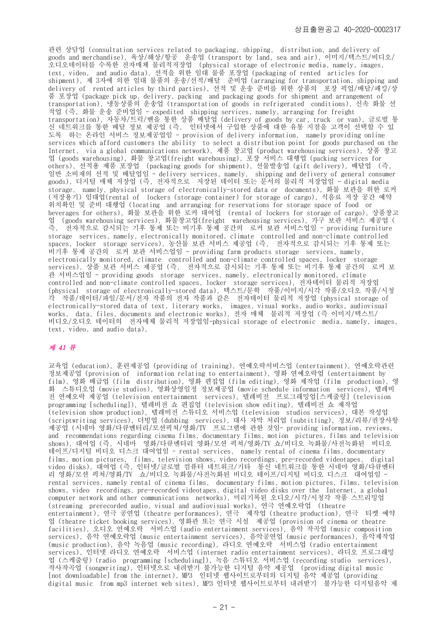관련 상담업 (consultation services related to packaging, shipping, distribution, and delivery of goods and merchandise), 육상/해상/항공 운송업 (transport by land, sea and air), 이미지/텍스트/비디오/ 오디오데이터를 수록한 전자매체 물리적저장업 (physical storage of electronic media, namely, images, text, video, and audio data), 선적을 위한 임대 물품 포장업 (packaging of rented articles for shipment), 제 3자에 의한 임대 물품의 운송/선적/배달 준비업 (arranging for transportation, shipping and delivery of rented articles by third parties), 선적 및 운송 준비를 위한 상품의 포장 픽업/배달/패킹/상 품 포장업 (package pick up, delivery, packing and packaging goods for shipment and arrangement of transportation), 냉동상품의 운송업 (transportation of goods in refrigerated conditions), 신속 화물 선 적업 (즉, 화물 운송 준비업임 - expedited shipping services, namely, arranging for freight transportation), 자동차/트럭/밴을 통한 상품 배달업 (delivery of goods by car, truck or van), 글로벌 통 신 네트워크를 통한 배달 정보 제공업 (즉, 인터넷에서 구입한 상품에 대한 유통 지점을 고객이 선택할 수 있 도록 하는 온라인 서비스 정보제공업임 - provision of delivery information, namely providing online services which afford customers the ability to select a distribution point for goods purchased on the Internet, via a global communications network), 제품 창고업 (product warehousing services), 상품 창고 업 (goods warehousing), 화물 창고업(freight warehousing), 포장 서비스 대행업 (packing services for others), 선적용 제품 포장업 (packaging goods for shipment), 선물발송업 (gift delivery), 배달업 (즉, 일반 소비재의 선적 및 배달업임 - delivery services, namely, shipping and delivery of general consumer goods), 디지털 매체 저장업 (즉, 전자적으로 저장된 데이터 또는 문서의 물리적 저장업임 - digital media storage, namely, physical storage of electronically-stored data or documents), 화물 보관을 위한 로커 (저장용기) 임대업(rental of lockers (storage container) for storage of cargo), 식음료 저장 공간 예약 위치확인 및 준비 대행업 (locating and arranging for reservations for storage space of food or beverages for others), 화물 보관을 위한 로커 대여업 (rental of lockers for storage of cargo), 상품창고 업 (goods warehousing services), 화물창고업(freight warehousing services), 가구 보관 서비스 제공업 ( 즉, 전자적으로 감시되는 기후 통제 또는 비기후 통제 공간의 로커 보관 서비스업임 - providing furniture storage services, namely, electronically monitored, climate controlled and non-climate controlled spaces, locker storage services), 농산물 보관 서비스 제공업 (즉, 전자적으로 감시되는 기후 통제 또는 비기후 통제 공간의 로커 보관 서비스업임 - providing farm products storage services, namely, electronically monitored, climate controlled and non-climate controlled spaces, locker storage services), 상품 보관 서비스 제공업 (즉, 전자적으로 감시되는 기후 통제 또는 비기후 통제 공간의 로커 보 관 서비스업임 - providing goods storage services, namely, electronically monitored, climate controlled and non-climate controlled spaces, locker storage services), 전자데이터 물리적 저장업 (physical storage of electronically-stored data), 텍스트/문학 작품/이미지/시각 작품/오디오 작품/시청 각 작품/데이터/파일/문서/전자 작품의 전자 작품과 같은 전자데이터 물리적 저장업 (physical storage of electronically-stored data of text, literary works, images, visual works, audio works, audiovisual works, data, files, documents and electronic works), 전자 매체 물리적 저장업 (즉 이미지/텍스트/ 비디오/오디오 데이터의 전자매체 물리적 저장업임-physical storage of electronic media, namely, images, text, video, and audio data),

# 제 41 류

교육업 (education), 훈련제공업 (providing of training), 연예오락서비스업 (entertainment), 연예오락관련 정보제공업 (provision of information relating to entertainment), 영화 연예오락업 (entertainment by film), 영화 배급업 (film distribution), 영화 편집업 (film editing), 영화 제작업 (film production), 영 화 스튜디오업 (movie studios), 영화상영일정 정보제공업 (movie schedule information services), 텔레비 전 연예오락 제공업 (television entertainment services), 텔레비전 프로그래밍업[스케줄링] (television programming [scheduling]), 텔레비전 쇼 편집업 (television show editing), 텔레비전 쇼 제작업 (television show production), 텔레비전 스튜디오 서비스업 (television studios services), 대본 작성업 (scriptwriting services), 더빙업 (dubbing services), 대사 자막 처리업 (subtitling), 정보/리뷰/권장사항 제공업 (시네마 영화/다큐멘터리/모션픽쳐/영화/TV 프로그램에 관한 것임- providing information, reviews, and recommendations regarding cinema films, documentary films, motion pictures, films and television shows), 대여업 (즉, 시네마 영화/다큐멘터리 영화/모션 픽쳐/영화/TV 쇼/비디오 녹화물/사전녹화된 비디오 테이프/디지털 비디오 디스크 대여업임 - rental services, namely rental of cinema films, documentary films, motion pictures, films, television shows, video recordings, pre-recorded videotapes, digital video disks), 대여업 (즉, 인터넷/글로벌 컴퓨터 네트워크/기타 통신 네트워크를 통한 시네마 영화/다큐멘터 리 영화/모션 픽쳐/영화/TV 쇼/비디오 녹화물/사전녹화된 비디오 테이프/디지털 비디오 디스크 대여업임 rental services, namely rental of cinema films, documentary films, motion pictures, films, television shows, video recordings, pre-recorded videotapes, digital video disks over the Internet, a global computer network and other communications networks), 미리기록된 오디오/시각/시청각 작품 스트리밍업 (streaming prerecorded audio, visual and audiovisual works), 연극 연예오락업 (theatre entertainment), 연극 공연업 (theatre performances), 연극 제작업 (theatre production), 연극 티켓 예약 업 (theatre ticket booking services), 영화관 또는 연극 시설 제공업 (provision of cinema or theatre facilities), 오디오 연예오락 서비스업 (audio entertainment services), 음악 작곡업 (music composition services), 음악 연예오락업 (music entertainment services), 음악공연업 (music performances), 음악제작업 (music production), 음악 녹음업 (music recording), 라디오 연예오락 서비스업 (radio entertainment services), 인터넷 라디오 연예오락 서비스업 (internet radio entertainment services), 라디오 프로그래밍 업 (스케줄링) (radio programming [scheduling]), 녹음 스튜디오 서비스업 (recording studio services), 작사작곡업 (songwriting), 인터넷으로 내려받기 불가능한 디지털 음악 제공업 (providing digital music [not downloadable] from the internet), MP3 인터넷 웹사이트로부터의 디지털 음악 제공업 (providing digital music from mp3 internet web sites), MP3 인터넷 웹사이트로부터 내려받기 불가능한 디지털음악 제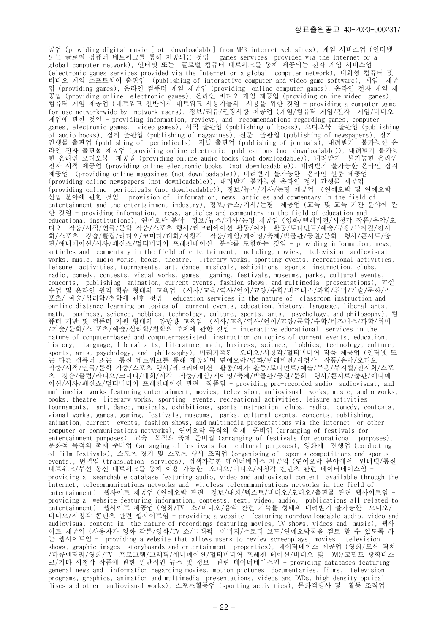공업 (providing digital music [not downloadable] from MP3 internet web sites), 게임 서비스업 (인터넷 또는 글로벌 컴퓨터 네트워크를 통해 제공되는 것임 - games services provided via the Internet or a global computer network), 인터넷 또는 글로벌 컴퓨터 네트워크를 통해 제공되는 전자 게임 서비스업 (electronic games services provided via the Internet or a global computer network), 대화형 컴퓨터 및 비디오 게임 소프트웨어 출판업 (publishing of interactive computer and video game software), 게임 제공 업 (providing games), 온라인 컴퓨터 게임 제공업 (providing online computer games), 온라인 전자 게임 제 공업 (providing online electronic games), 온라인 비디오 게임 제공업 (providing online video games), 컴퓨터 게임 제공업 (네트워크 전반에서 네트워크 사용자들의 사용을 위한 것임 - providing a computer game for use network-wide by network users), 정보/리뷰/권장사항 제공업 (게임/컴퓨터 게임/전자 게임/비디오 게임에 관한 것임 - providing information, reviews, and recommendations regarding games, computer games, electronic games, video games), 서적 출판업 (publishing of books), 오디오북 출판업 (publishing of audio books), 잡지 출판업 (publishing of magazines), 신문 출판업 (publishing of newspapers), 정기 간행물 출판업 (publishing of periodicals), 저널 출판업 (publishing of journals), 내려받기 불가능한 온 라인 전자 출판물 제공업 (providing online electronic publications (not downloadable)), 내려받기 불가능 한 온라인 오디오북 제공업 (providing online audio books (not downloadable)), 내려받기 불가능한 온라인 전자 서적 제공업 (providing online electronic books (not downloadable)), 내려받기 불가능한 온라인 잡지 제공업 (providing online magazines (not downloadable)), 내려받기 불가능한 온라인 신문 제공업 (providing online newspapers (not downloadable)), 내려받기 불가능한 온라인 정기 간행물 제공업 (providing online periodicals (not downloadable)), 정보/뉴스/기사/논평 제공업 (연예오락 및 연예오락 산업 분야에 관한 것임 - provision of information, news, articles and commentary in the field of entertainment and the entertainment industry), 정보/뉴스/기사/논평 제공업 (교육 및 교육 기관 분야에 관 한 것임 - providing information, news, articles and commentary in the field of education and educational institutions), 연예오락 분야 정보/뉴스/기사/논평 제공업 (영화/텔레비전/시청각 작품/음악/오 디오 작품/서적/연극/문학 작품/스포츠 행사/레크리에이션 활동/여가 활동/토너먼트/예술/무용/뮤지컬/전시 회/스포츠 강습/클럽/라디오/코미디/대회/시청각 작품/게임/게이밍/축제/박물관/공원/문화 행사/콘서트/출 판/애니메이션/시사/패션쇼/멀티미디어 프레젠테이션 분야를 포함하는 것임 - providing information, news, articles and commentary in the field of entertainment, including, movies, television, audiovisual works, music, audio works, books, theatre, literary works, sporting events, recreational activities, leisure activities, tournaments, art, dance, musicals, exhibitions, sports instruction, clubs, radio, comedy, contests, visual works, games, gaming, festivals, museums, parks, cultural events, concerts, publishing, animation, current events, fashion shows, and multimedia presentations), 교실 수업 및 온라인 원격 학습 형태의 교육업 (시사/교육/역사/언어/교양/수학/비즈니스/과학/취미/기술/문화/스 포츠/ 예술/심리학/철학에 관한 것임 - education services in the nature of classroom instruction and on-line distance learning on topics of current events, education, history, language, liberal arts, math, business, science, hobbies, technology, culture, sports, arts, psychology, and philosophy), 컴 퓨터 기반 및 컴퓨터 지원 형태의 양방향 교육업 (시사/교육/역사/언어/교양/문학/수학/비즈니스/과학/취미 /기술/문화/스 포츠/예술/심리학/철학의 주제에 관한 것임 - interactive educational services in the nature of computer-based and computer-assisted instruction on topics of current events, education, history, language, liberal arts, literature, math, business, science, hobbies, technology, culture, sports, arts, psychology, and philosophy), 미리기록된 오디오/시청각/멀티미디어 작품 제공업 (인터넷 또 는 다른 컴퓨터 또는 통신 네트워크를 통해 제공되며 연예오락/영화/텔레비전/시청각 작품/음악/오디오 작품/서적/연극/문학 작품/스포츠 행사/레크리에이션 활동/여가 활동/토너먼트/예술/무용/뮤지컬/전시회/스포 츠 강습/클럽/라디오/코미디/대회/시각 작품/게임/게이밍/축제/박물관/공원/문화 행사/콘서트/출판/애니메 이션/시사/패션쇼/멀티미디어 프레젠테이션 관련 작품임 - providing pre-recorded audio, audiovisual, and multimedia works featuring entertainment, movies, television, audiovisual works, music, audio works, books, theatre, literary works, sporting events, recreational activities, leisure activities, tournaments, art, dance, musicals, exhibitions, sports instruction, clubs, radio, comedy, contests, visual works, games, gaming, festivals, museums, parks, cultural events, concerts, publishing, animation, current events, fashion shows, and multimedia presentations via the internet or other computer or communications networks), 연예오락 목적의 축제 준비업 (arranging of festivals for entertainment purposes), 교육 목적의 축제 준비업 (arranging of festivals for educational purposes), 문화적 목적의 축제 준비업 (arranging of festivals for cultural purposes), 영화제 진행업 (conducting of film festivals), 스포츠 경기 및 스포츠 행사 조직업 (organising of sports competitions and sports events), 번역업 (translation services), 검색가능한 데이터베이스 제공업 (연예오락 분야에서 인터넷/통신 네트워크/무선 통신 네트워크를 통해 이용 가능한 오디오/비디오/시청각 컨텐츠 관련 데이터베이스임 providing a searchable database featuring audio, video and audiovisual content available through the Internet, telecommunications networks and wireless telecommunications networks in the field of entertainment), 웹사이트 제공업 (연예오락 관련 정보/대회/텍스트/비디오/오디오/출판물 관련 웹사이트임 providing a website featuring information, contests, text, video, audio, publications all related to entertainment), 웹사이트 제공업 (영화/TV 쇼/비디오/음악 관련 기록물 형태의 내려받기 불가능한 오디오/ 비디오/시청각 콘텐츠 관련 웹사이트임 - providing a website featuring non-downloadable audio, video and audiovisual content in the nature of recordings featuring movies, TV shows, videos and music), 웹사 이트 제공업 (사용자가 영화 각본/영화/TV 쇼/그래픽 이미지/스토리 보드/연예오락물을 검토 할 수 있도록 하 는 웹사이트임 - providing a website that allows users to review screenplays, movies, television shows, graphic images, storyboards and entertainment properties), 데이터베이스 제공업 (영화/모션 픽쳐 /다큐멘터리/영화/TV 프로그램/그래픽/애니메이션/멀티미디어 프레젠 테이션/비디오 및 DVD/고밀도 광학디스 크/기타 시청각 작품에 관한 일반적인 뉴스 및 정보 관련 데이터베이스임 - providing databases featuring general news and information regarding movies, motion pictures, documentaries, films, television programs, graphics, animation and multimedia presentations, videos and DVDs, high density optical discs and other audiovisual works), 스포츠활동업 (sporting activities), 문화적행사 및 활동 조직업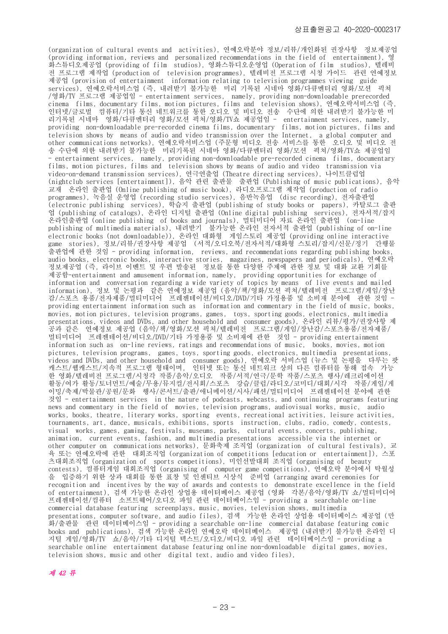(organization of cultural events and activities), 연예오락분야 정보/리뷰/개인화된 권장사항 정보제공업 (providing information, reviews and personalized recommendations in the field of entertainment), 영 화스튜디오제공업 (providing of film studios), 영화스튜디오운영업 (Operation of film studios), 텔레비 전 프로그램 제작업 (production of television programmes), 텔레비전 프로그램 시청 가이드 관련 연예정보 제공업 (provision of entertainment information relating to television programmes viewing guide services), 연예오락서비스업 (즉, 내려받기 불가능한 미리 기록된 시네마 영화/다큐멘터리 영화/모션 픽쳐 /영화/TV 프로그램 제공업임 - entertainment services, namely, providing non-downloadable prerecorded cinema films, documentary films, motion pictures, films and television shows), 연예오락서비스업 (즉, 인터넷/글로벌 컴퓨터/기타 통신 네트워크를 통한 오디오 및 비디오 전송 수단에 의한 내려받기 불가능한 미 리기록된 시네마 영화/다큐멘터리 영화/모션 픽쳐/영화/TV쇼 제공업임 - entertainment services, namely, providing non-downloadable pre-recorded cinema films, documentary films, motion pictures, films and television shows by means of audio and video transmission over the Internet, a global computer and other communications networks), 연예오락서비스업 (주문형 비디오 전송 서비스를 통한 오디오 및 비디오 전 송 수단에 의한 내려받기 불가능한 미리기록된 시네마 영화/다큐멘터리 영화/모션 픽쳐/영화/TV쇼 제공업임 - entertainment services, namely, providing non-downloadable pre-recorded cinema films, documentary films, motion pictures, films and television shows by means of audio and video transmission via video-on-demand transmission services), 연극연출업 (Theatre directing services), 나이트클럽업 (nightclub services [entertainment]), 음악 관련 출판물 출판업 (Publishing of music publications), 음악 교재 온라인 출판업 (Online publishing of music book), 라디오프로그램 제작업 (production of radio programmes), 녹음실 운영업 (recording studio services), 음반녹음업 (disc recording), 전자출판업 (electronic publishing services), 학습지 출판업 (publishing of study books or papers), 카탈로그 출판 업 (publishing of catalogs), 온라인 디지털 출판업 (Online digital publishing services), 전자서적/잡지 온라인출판업 (online publishing of books and journals), 멀티미디어 자료 온라인 출판업 (on-line publishing of multimedia materials), 내려받기 불가능한 온라인 전자서적 출판업 (publishing of on-line electronic books (not downloadable)), 온라인 대화형 게임스토리 제공업 (providing online interactive game stories), 정보/리뷰/권장사항 제공업 (서적/오디오북/전자서적/대화형 스토리/잡지/신문/정기 간행물 출판업에 관한 것임 - providing information, reviews, and recommendations regarding publishing books, audio books, electronic books, interactive stories, magazines, newspapers and periodicals), 연예오락 정보제공업 (즉, 라이브 이벤트 및 우편 발송된 정보를 통한 다양한 주제에 관한 정보 및 대화 교환 기회를 제공함-entertainment and amusement information, namely, providing opportunities for exchange of information and conversation regarding a wide variety of topics by means of live events and mailed information), 정보 및 논평과 같은 연예정보 제공업 (음악/책/영화/모션 픽쳐/텔레비전 프로그램/게임/장난 감/스포츠 용품/전자제품/멀티미디어 프레젠테이션/비디오/DVD/기타 가정용품 및 소비재 분야에 관한 것임 providing entertainment information such as information and commentary in the field of music, books, movies, motion pictures, television programs, games, toys, sporting goods, electronics, multimedia presentations, videos and DVDs, and other household and consumer goods), 온라인 리뷰/평가/권장사항 제 공과 같은 연예정보 제공업 (음악/책/영화/모션 픽쳐/텔레비전 프로그램/게임/장난감/스포츠용품/전자제품/ 멀티미디어 프레젠테이션/비디오/DVD/기타 가정용품 및 소비재에 관한 것임 - providing entertainment information such as on-line reviews, ratings and recommendations of music, books, movies, motion pictures, television programs, games, toys, sporting goods, electronics, multimedia presentations, videos and DVDs, and other household and consumer goods), 연예오락 서비스업 (뉴스 및 논평을 다루는 팟 캐스트/웹캐스트/지속적 프로그램 형태이며, 인터넷 또는 통신 네트워크 상의 다른 컴퓨터를 통해 접속 가능 한 영화/텔레비전 프로그램/시청각 작품/음악/오디오 작품/서적/연극/문학 작품/스포츠 행사/레크리에이션 활동/여가 활동/토너먼트/예술/무용/뮤지컬/전시회/스포츠 강습/클럽/라디오/코미디/대회/시각 작품/게임/게 이밍/축제/박물관/공원/문화 행사/콘서트/출판/애니메이션/시사/패션/멀티미디어 프레젠테이션 분야에 관한 것임 - entertainment services in the nature of podcasts, webcasts, and continuing programs featuring news and commentary in the field of movies, television programs, audiovisual works, music, audio works, books, theatre, literary works, sporting events, recreational activities, leisure activities, tournaments, art, dance, musicals, exhibitions, sports instruction, clubs, radio, comedy, contests, visual works, games, gaming, festivals, museums, parks, cultural events, concerts, publishing, animation, current events, fashion, and multimedia presentations accessible via the internet or other computer on communications networks), 문화축제 조직업 (organization of cultural festivals), 교 육 또는 연예오락에 관한 대회조직업 (organization of competitions [education or entertainment]), 스포 츠대회조직업 (organization of sports competitions), 미인선발대회 조직업 (organising of beauty contests), 컴퓨터게임 대회조직업 (organising of computer game competitions), 연예오락 분야에서 탁월성 을 입증하기 위한 상과 대회를 통한 표창 및 인센티브 시상식 준비업 (arranging award ceremonies for recognition and incentives by the way of awards and contests to demonstrate excellence in the field of entertainment), 검색 가능한 온라인 상업용 데이터베이스 제공업 (영화 각본/음악/영화/TV 쇼/멀티미디어 프레젠테이션/컴퓨터 소프트웨어/오디오 파일 관련 데이터베이스임 - providing a searchable on-line commercial database featuring screenplays, music, movies, television shows, multimedia presentations, computer software, and audio files), 검색 가능한 온라인 상업용 데이터베이스 제공업 (만 화/출판물 관련 데이터베이스임 - providing a searchable on-line commercial database featuring comic books and publications), 검색 가능한 온라인 연예오락 데이터베이스 제공업 (내려받기 불가능한 온라인 디 지털 게임/영화/TV 쇼/음악/기타 디지털 텍스트/오디오/비디오 파일 관련 데이터베이스임 - providing a searchable online entertainment database featuring online non-downloadable digital games, movies, television shows, music and other digital text, audio and video files),

## 제 42 류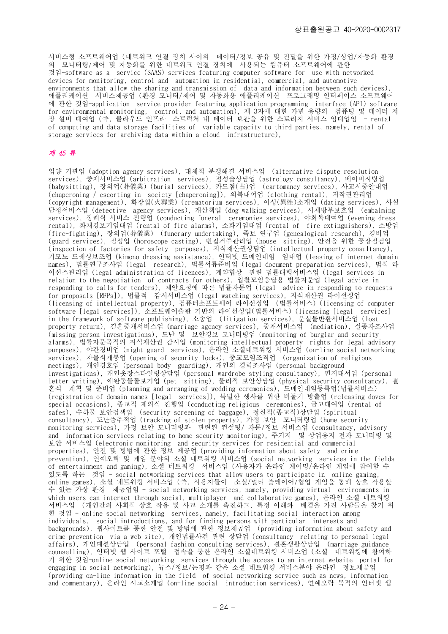서비스형 소프트웨어업 (네트워크 연결 장치 사이의 데이터/정보 공유 및 전달을 위한 가정/상업/자동화 환경 의 모니터링/제어 및 자동화를 위한 네트워크 연결 장치에 사용되는 컴퓨터 소프트웨어에 관한 것임-software as a service (SAAS) services featuring computer software for use with networked devices for monitoring, control and automation in residential, commercial, and automotive environments that allow the sharing and transmission of data and information between such devices), 애플리케이션 서비스제공업 (환경 모니터/제어 및 자동화용 애플리케이션 프로그래밍 인터페이스 소프트웨어 에 관한 것임-application service provider featuring application programming interface (API) software for environmental monitoring, control, and automation), 제 3자에 대한 가변 용량의 컴퓨팅 및 데이터 저 장 설비 대여업 (즉, 클라우드 인프라 스트럭처 내 데이터 보관을 위한 스토리지 서비스 임대업임 - rental of computing and data storage facilities of variable capacity to third parties, namely, rental of storage services for archiving data within a cloud infrastructure),

### 제 45 류

입양 기관업 (adoption agency services), 대체적 분쟁해결 서비스업 (alternative dispute resolution services), 중재서비스업 (arbitration services), 점성술상담업 (astrology consultancy), 베이비시팅업 (babysitting), 장의업(葬儀業) (burial services), 카드점(占)업 (cartomancy services), 사교시중안내업 (chaperoning / escorting in society [chaperoning]), 의복대여업 (clothing rental), 저작권관리업 (copyright management), 화장업(火葬業) (crematorium services), 이성(異性)소개업 (dating services), 사설 탐정서비스업 (detective agency services), 개산책업 (dog walking services), 시체방부보호업 (embalming services), 장례식 서비스 진행업 (conducting funeral ceremonies services), 야회복대여업 (evening dress rental), 화재경보기임대업 (rental of fire alarms), 소화기임대업 (rental of fire extinguishers), 소방업 (fire-fighting), 장의업(葬儀業) (funerary undertaking), 족보 연구업 (genealogical research), 경비업 (guard services), 점성업 (horoscope casting), 빈집거주관리업 (house sitting), 안전을 위한 공장점검업 (inspection of factories for safety purposes), 지식재산권상담업 (intellectual property consultancy), 기모노 드레싱보조업 (kimono dressing assistance), 인터넷 도메인네임 임대업 (leasing of internet domain names), 법률연구조사업 (legal research), 법률서류준비업 (legal document preparation services), 법적 라 이선스관리업 (legal administration of licences), 계약협상 관련 법률대행서비스업 (legal services in relation to the negotiation of contracts for others), 입찰모임응답용 법률자문업 (legal advice in responding to calls for tenders), 제안요청에 따른 법률자문업 (legal advice in responding to requests for proposals [RFPs]), 법률적 감시서비스업 (legal watching services), 지식재산권 라이선싱업 (licensing of intellectual property), 컴퓨터소프트웨어 라이선싱업 (법률서비스) (licensing of computer software [legal services]), 소프트웨어출판 기반의 라이선싱업(법률서비스) (licensing [legal services] in the framework of software publishing), 소송업 (litigation services), 분실물반환서비스업 (lost property return), 결혼중개서비스업 (marriage agency services), 중재서비스업 (mediation), 실종자조사업 (missing person investigations), 도난 및 보안경보 모니터링업 (monitoring of burglar and security alarms), 법률자문목적의 지식재산권 감시업 (monitoring intellectual property rights for legal advisory purposes), 야간경비업 (night guard services), 온라인 소셜네트워킹 서비스업 (on-line social networking services), 자물쇠개봉업 (opening of security locks), 종교모임조직업 (organization of religious meetings), 개인경호업 (personal body guarding), 개인의 경력조사업 (personal background investigations), 개인옷장스타일링상담업 (personal wardrobe styling consultancy), 편지대서업 (personal letter writing), 애완동물돌보기업 (pet sitting), 물리적 보안상담업 (physical security consultancy), 결 혼식 계획 및 준비업 (planning and arranging of wedding ceremonies), 도메인네임등록업(법률서비스) (registration of domain names [legal services]), 특별한 행사를 위한 비둘기 방출업 (releasing doves for special occasions), 종교적 제의식 진행업 (conducting religious ceremonies), 금고대여업 (rental of safes), 수하물 보안검색업 (security screening of baggage), 정신적(종교적)상담업 (spiritual consultancy), 도난품추적업 (tracking of stolen property), 가정 보안 모니터링업 (home security monitoring services), 가정 보안 모니터링과 관련된 컨설팅/ 자문/정보 서비스업 (consultancy, advisory and information services relating to home security monitoring), 주거지 및 상업용지 전자 모니터링 및 보안 서비스업 (electronic monitoring and security services for residential and commercial properties), 안전 및 방범에 관한 정보 제공업 (providing information about safety and crime prevention), 연예오락 및 게임 분야의 소셜 네트워킹 서비스업 (social networking services in the fields of entertainment and gaming), 소셜 네트워킹 서비스업 (사용자가 온라인 게이밍/온라인 게임에 참여할 수 있도록 하는 것임 - social networking services that allow users to participate in online gaming, online games), 소셜 네트워킹 서비스업 (즉, 사용자들이 소셜/멀티 플레이어/협업 게임을 통해 상호 작용할 수 있는 가상 환경 제공업임 - social networking services, namely, providing virtual environments in which users can interact through social, multiplayer and collaborative games), 온라인 소셜 네트워킹 서비스업 (개인간의 사회적 상호 작용 및 사교 소개를 촉진하고, 특정 이해와 배경을 가진 사람들을 찾기 위 한 것임 - online social networking services, namely, facilitating social interaction among individuals, social introductions, and for finding persons with particular interests and backgrounds), 웹사이트를 통한 안전 및 방범에 관한 정보제공업 (providing information about safety and crime prevention via a web site), 개인법률사건 관련 상담업 (consultancy relating to personal legal affairs), 개인패션상담업 (personal fashion consulting services), 결혼생활상담업 (marriage guidance counselling), 인터넷 웹 사이트 포털 접속을 통한 온라인 소셜네트워킹 서비스업 (소셜 네트워킹에 참여하 기 위한 것임-online social networking services through the access to an internet website portal for engaging in social networking), 뉴스/정보/논평과 같은 소셜 네트워킹 서비스분야 온라인 정보제공업 (providing on-line information in the field of social networking service such as news, information and commentary), 온라인 사교소개업 (on-line social introduction services), 연예오락 목적의 인터넷 웹